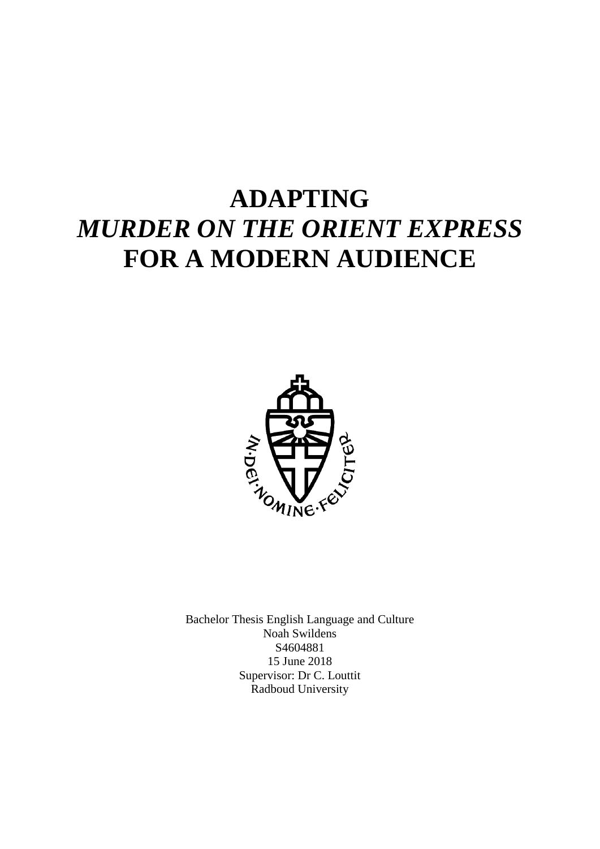# **ADAPTING**  *MURDER ON THE ORIENT EXPRESS* **FOR A MODERN AUDIENCE**



Bachelor Thesis English Language and Culture Noah Swildens S4604881 15 June 2018 Supervisor: Dr C. Louttit Radboud University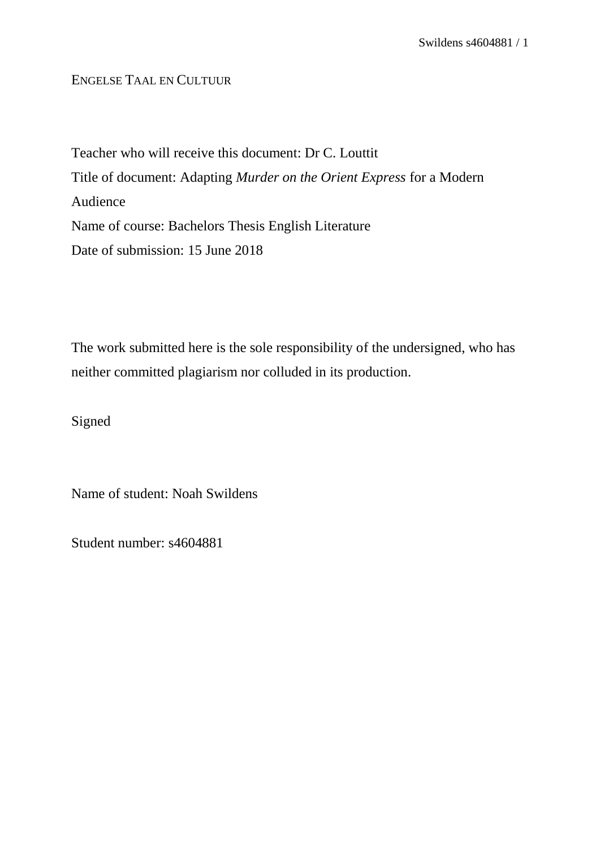# ENGELSE TAAL EN CULTUUR

Teacher who will receive this document: Dr C. Louttit Title of document: Adapting *Murder on the Orient Express* for a Modern Audience Name of course: Bachelors Thesis English Literature Date of submission: 15 June 2018

The work submitted here is the sole responsibility of the undersigned, who has neither committed plagiarism nor colluded in its production.

Signed

Name of student: Noah Swildens

Student number: s4604881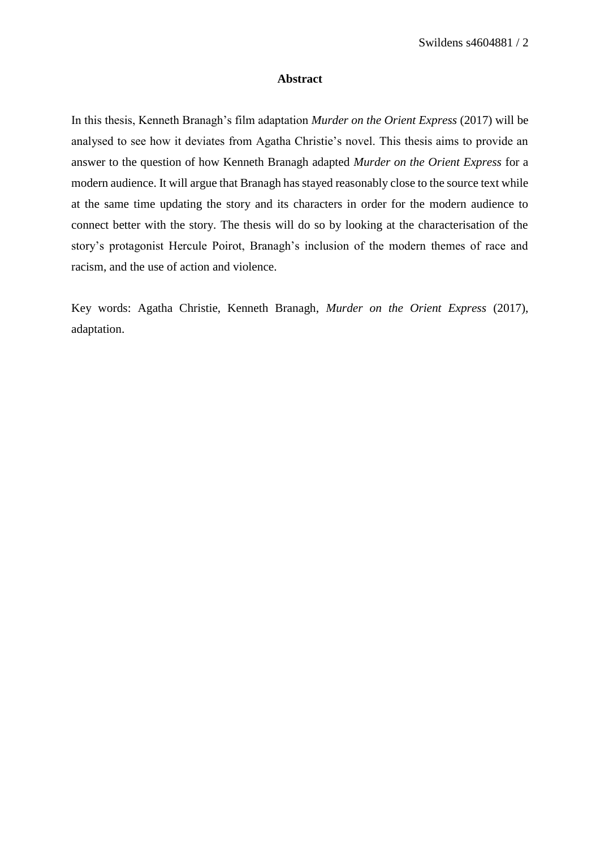### **Abstract**

In this thesis, Kenneth Branagh's film adaptation *Murder on the Orient Express* (2017) will be analysed to see how it deviates from Agatha Christie's novel. This thesis aims to provide an answer to the question of how Kenneth Branagh adapted *Murder on the Orient Express* for a modern audience. It will argue that Branagh has stayed reasonably close to the source text while at the same time updating the story and its characters in order for the modern audience to connect better with the story. The thesis will do so by looking at the characterisation of the story's protagonist Hercule Poirot, Branagh's inclusion of the modern themes of race and racism, and the use of action and violence.

Key words: Agatha Christie, Kenneth Branagh, *Murder on the Orient Express* (2017), adaptation.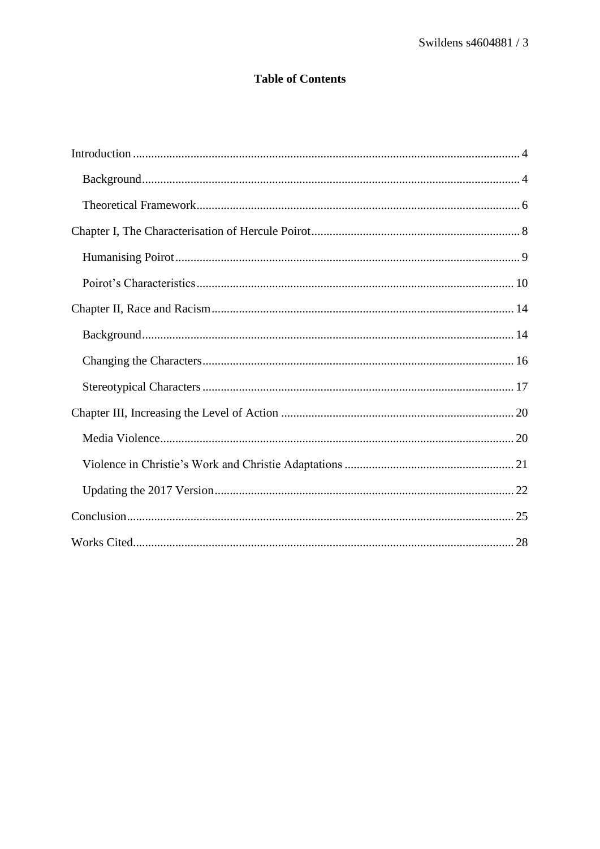# **Table of Contents**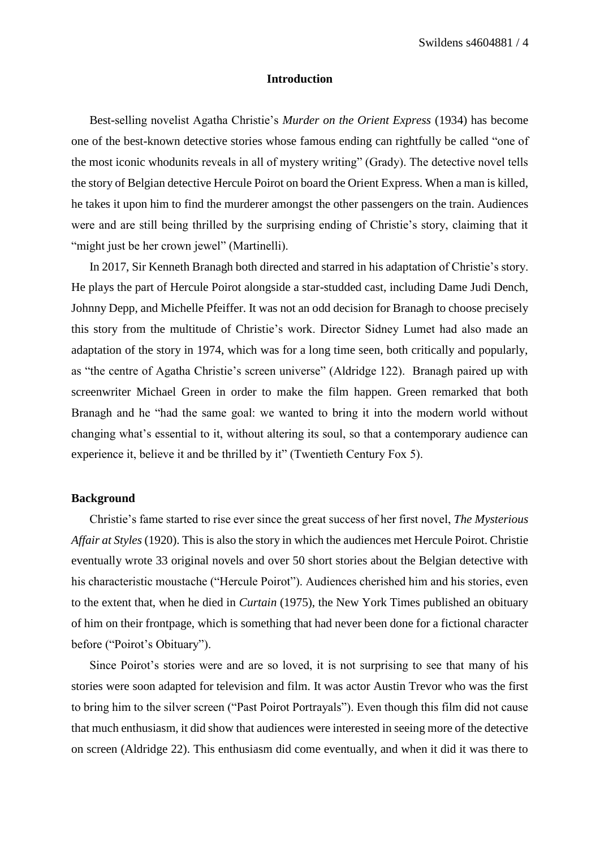#### **Introduction**

<span id="page-4-0"></span>Best-selling novelist Agatha Christie's *Murder on the Orient Express* (1934) has become one of the best-known detective stories whose famous ending can rightfully be called "one of the most iconic whodunits reveals in all of mystery writing" (Grady). The detective novel tells the story of Belgian detective Hercule Poirot on board the Orient Express. When a man is killed, he takes it upon him to find the murderer amongst the other passengers on the train. Audiences were and are still being thrilled by the surprising ending of Christie's story, claiming that it "might just be her crown jewel" (Martinelli).

In 2017, Sir Kenneth Branagh both directed and starred in his adaptation of Christie's story. He plays the part of Hercule Poirot alongside a star-studded cast, including Dame Judi Dench, Johnny Depp, and Michelle Pfeiffer. It was not an odd decision for Branagh to choose precisely this story from the multitude of Christie's work. Director Sidney Lumet had also made an adaptation of the story in 1974, which was for a long time seen, both critically and popularly, as "the centre of Agatha Christie's screen universe" (Aldridge 122). Branagh paired up with screenwriter Michael Green in order to make the film happen. Green remarked that both Branagh and he "had the same goal: we wanted to bring it into the modern world without changing what's essential to it, without altering its soul, so that a contemporary audience can experience it, believe it and be thrilled by it" (Twentieth Century Fox 5).

# <span id="page-4-1"></span>**Background**

Christie's fame started to rise ever since the great success of her first novel, *The Mysterious Affair at Styles* (1920). This is also the story in which the audiences met Hercule Poirot. Christie eventually wrote 33 original novels and over 50 short stories about the Belgian detective with his characteristic moustache ("Hercule Poirot"). Audiences cherished him and his stories, even to the extent that, when he died in *Curtain* (1975), the New York Times published an obituary of him on their frontpage, which is something that had never been done for a fictional character before ("Poirot's Obituary").

Since Poirot's stories were and are so loved, it is not surprising to see that many of his stories were soon adapted for television and film. It was actor Austin Trevor who was the first to bring him to the silver screen ("Past Poirot Portrayals"). Even though this film did not cause that much enthusiasm, it did show that audiences were interested in seeing more of the detective on screen (Aldridge 22). This enthusiasm did come eventually, and when it did it was there to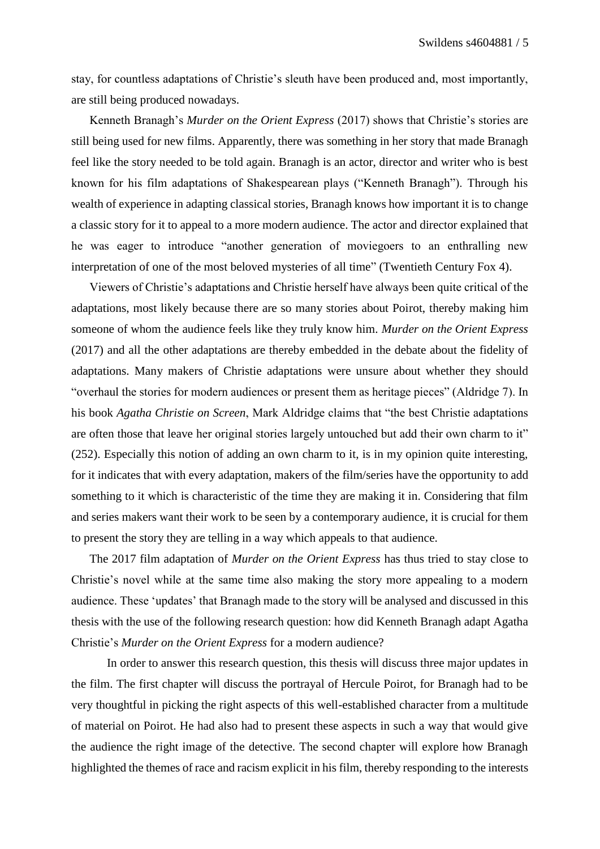stay, for countless adaptations of Christie's sleuth have been produced and, most importantly, are still being produced nowadays.

Kenneth Branagh's *Murder on the Orient Express* (2017) shows that Christie's stories are still being used for new films. Apparently, there was something in her story that made Branagh feel like the story needed to be told again. Branagh is an actor, director and writer who is best known for his film adaptations of Shakespearean plays ("Kenneth Branagh"). Through his wealth of experience in adapting classical stories, Branagh knows how important it is to change a classic story for it to appeal to a more modern audience. The actor and director explained that he was eager to introduce "another generation of moviegoers to an enthralling new interpretation of one of the most beloved mysteries of all time" (Twentieth Century Fox 4).

Viewers of Christie's adaptations and Christie herself have always been quite critical of the adaptations, most likely because there are so many stories about Poirot, thereby making him someone of whom the audience feels like they truly know him. *Murder on the Orient Express* (2017) and all the other adaptations are thereby embedded in the debate about the fidelity of adaptations. Many makers of Christie adaptations were unsure about whether they should "overhaul the stories for modern audiences or present them as heritage pieces" (Aldridge 7). In his book *Agatha Christie on Screen*, Mark Aldridge claims that "the best Christie adaptations are often those that leave her original stories largely untouched but add their own charm to it" (252). Especially this notion of adding an own charm to it, is in my opinion quite interesting, for it indicates that with every adaptation, makers of the film/series have the opportunity to add something to it which is characteristic of the time they are making it in. Considering that film and series makers want their work to be seen by a contemporary audience, it is crucial for them to present the story they are telling in a way which appeals to that audience.

The 2017 film adaptation of *Murder on the Orient Express* has thus tried to stay close to Christie's novel while at the same time also making the story more appealing to a modern audience. These 'updates' that Branagh made to the story will be analysed and discussed in this thesis with the use of the following research question: how did Kenneth Branagh adapt Agatha Christie's *Murder on the Orient Express* for a modern audience?

In order to answer this research question, this thesis will discuss three major updates in the film. The first chapter will discuss the portrayal of Hercule Poirot, for Branagh had to be very thoughtful in picking the right aspects of this well-established character from a multitude of material on Poirot. He had also had to present these aspects in such a way that would give the audience the right image of the detective. The second chapter will explore how Branagh highlighted the themes of race and racism explicit in his film, thereby responding to the interests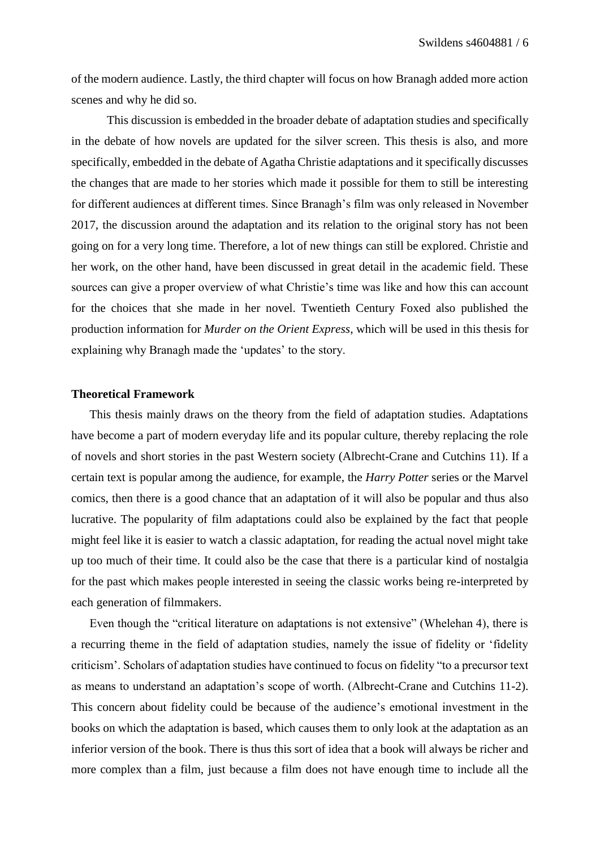of the modern audience. Lastly, the third chapter will focus on how Branagh added more action scenes and why he did so.

This discussion is embedded in the broader debate of adaptation studies and specifically in the debate of how novels are updated for the silver screen. This thesis is also, and more specifically, embedded in the debate of Agatha Christie adaptations and it specifically discusses the changes that are made to her stories which made it possible for them to still be interesting for different audiences at different times. Since Branagh's film was only released in November 2017, the discussion around the adaptation and its relation to the original story has not been going on for a very long time. Therefore, a lot of new things can still be explored. Christie and her work, on the other hand, have been discussed in great detail in the academic field. These sources can give a proper overview of what Christie's time was like and how this can account for the choices that she made in her novel. Twentieth Century Foxed also published the production information for *Murder on the Orient Express*, which will be used in this thesis for explaining why Branagh made the 'updates' to the story.

## <span id="page-6-0"></span>**Theoretical Framework**

This thesis mainly draws on the theory from the field of adaptation studies. Adaptations have become a part of modern everyday life and its popular culture, thereby replacing the role of novels and short stories in the past Western society (Albrecht-Crane and Cutchins 11). If a certain text is popular among the audience, for example, the *Harry Potter* series or the Marvel comics, then there is a good chance that an adaptation of it will also be popular and thus also lucrative. The popularity of film adaptations could also be explained by the fact that people might feel like it is easier to watch a classic adaptation, for reading the actual novel might take up too much of their time. It could also be the case that there is a particular kind of nostalgia for the past which makes people interested in seeing the classic works being re-interpreted by each generation of filmmakers.

Even though the "critical literature on adaptations is not extensive" (Whelehan 4), there is a recurring theme in the field of adaptation studies, namely the issue of fidelity or 'fidelity criticism'. Scholars of adaptation studies have continued to focus on fidelity "to a precursor text as means to understand an adaptation's scope of worth. (Albrecht-Crane and Cutchins 11-2). This concern about fidelity could be because of the audience's emotional investment in the books on which the adaptation is based, which causes them to only look at the adaptation as an inferior version of the book. There is thus this sort of idea that a book will always be richer and more complex than a film, just because a film does not have enough time to include all the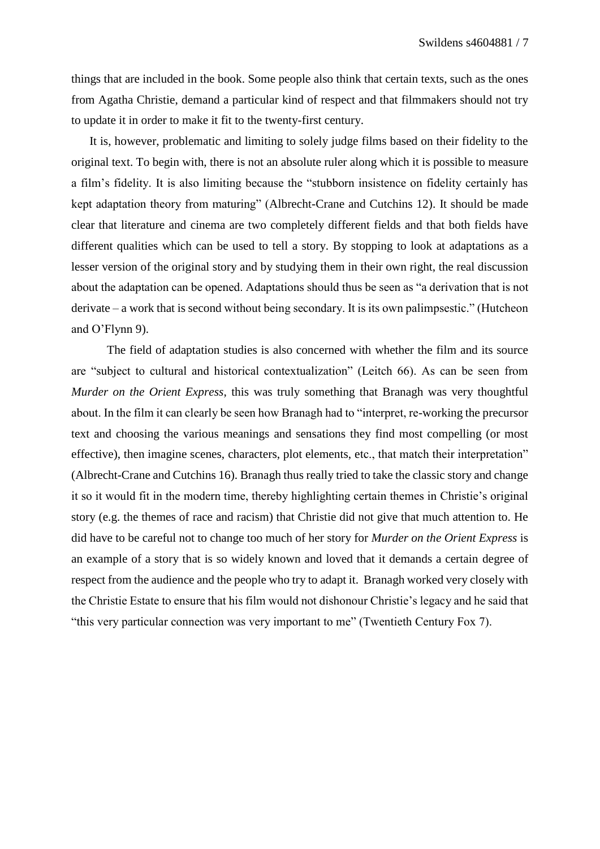things that are included in the book. Some people also think that certain texts, such as the ones from Agatha Christie, demand a particular kind of respect and that filmmakers should not try to update it in order to make it fit to the twenty-first century.

It is, however, problematic and limiting to solely judge films based on their fidelity to the original text. To begin with, there is not an absolute ruler along which it is possible to measure a film's fidelity. It is also limiting because the "stubborn insistence on fidelity certainly has kept adaptation theory from maturing" (Albrecht-Crane and Cutchins 12). It should be made clear that literature and cinema are two completely different fields and that both fields have different qualities which can be used to tell a story. By stopping to look at adaptations as a lesser version of the original story and by studying them in their own right, the real discussion about the adaptation can be opened. Adaptations should thus be seen as "a derivation that is not derivate – a work that is second without being secondary. It is its own palimpsestic." (Hutcheon and O'Flynn 9).

The field of adaptation studies is also concerned with whether the film and its source are "subject to cultural and historical contextualization" (Leitch 66). As can be seen from *Murder on the Orient Express*, this was truly something that Branagh was very thoughtful about. In the film it can clearly be seen how Branagh had to "interpret, re-working the precursor text and choosing the various meanings and sensations they find most compelling (or most effective), then imagine scenes, characters, plot elements, etc., that match their interpretation" (Albrecht-Crane and Cutchins 16). Branagh thus really tried to take the classic story and change it so it would fit in the modern time, thereby highlighting certain themes in Christie's original story (e.g. the themes of race and racism) that Christie did not give that much attention to. He did have to be careful not to change too much of her story for *Murder on the Orient Express* is an example of a story that is so widely known and loved that it demands a certain degree of respect from the audience and the people who try to adapt it. Branagh worked very closely with the Christie Estate to ensure that his film would not dishonour Christie's legacy and he said that "this very particular connection was very important to me" (Twentieth Century Fox 7).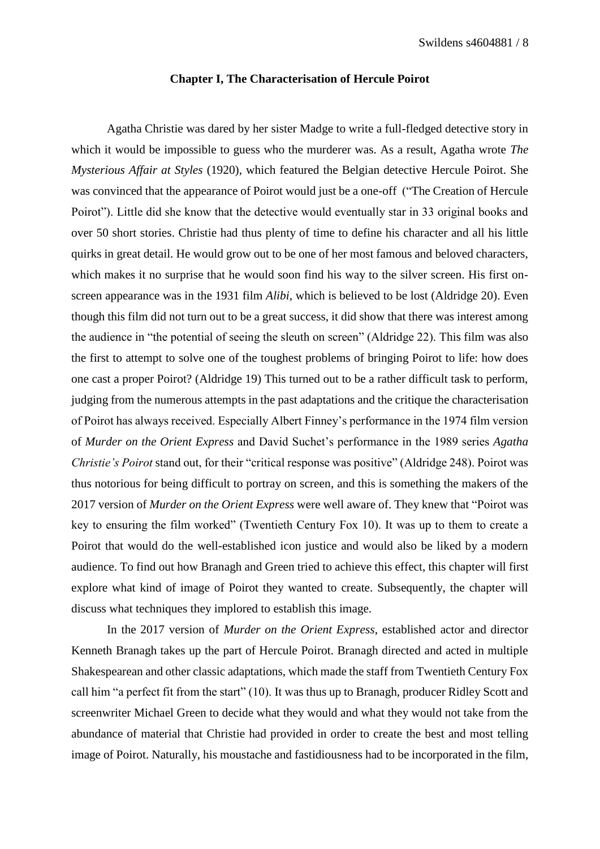#### **Chapter I, The Characterisation of Hercule Poirot**

<span id="page-8-0"></span>Agatha Christie was dared by her sister Madge to write a full-fledged detective story in which it would be impossible to guess who the murderer was. As a result, Agatha wrote *The Mysterious Affair at Styles* (1920), which featured the Belgian detective Hercule Poirot. She was convinced that the appearance of Poirot would just be a one-off ("The Creation of Hercule Poirot"). Little did she know that the detective would eventually star in 33 original books and over 50 short stories. Christie had thus plenty of time to define his character and all his little quirks in great detail. He would grow out to be one of her most famous and beloved characters, which makes it no surprise that he would soon find his way to the silver screen. His first onscreen appearance was in the 1931 film *Alibi*, which is believed to be lost (Aldridge 20). Even though this film did not turn out to be a great success, it did show that there was interest among the audience in "the potential of seeing the sleuth on screen" (Aldridge 22). This film was also the first to attempt to solve one of the toughest problems of bringing Poirot to life: how does one cast a proper Poirot? (Aldridge 19) This turned out to be a rather difficult task to perform, judging from the numerous attempts in the past adaptations and the critique the characterisation of Poirot has always received. Especially Albert Finney's performance in the 1974 film version of *Murder on the Orient Express* and David Suchet's performance in the 1989 series *Agatha Christie's Poirot* stand out, for their "critical response was positive" (Aldridge 248). Poirot was thus notorious for being difficult to portray on screen, and this is something the makers of the 2017 version of *Murder on the Orient Express* were well aware of. They knew that "Poirot was key to ensuring the film worked" (Twentieth Century Fox 10). It was up to them to create a Poirot that would do the well-established icon justice and would also be liked by a modern audience. To find out how Branagh and Green tried to achieve this effect, this chapter will first explore what kind of image of Poirot they wanted to create. Subsequently, the chapter will discuss what techniques they implored to establish this image.

In the 2017 version of *Murder on the Orient Express*, established actor and director Kenneth Branagh takes up the part of Hercule Poirot. Branagh directed and acted in multiple Shakespearean and other classic adaptations, which made the staff from Twentieth Century Fox call him "a perfect fit from the start" (10). It was thus up to Branagh, producer Ridley Scott and screenwriter Michael Green to decide what they would and what they would not take from the abundance of material that Christie had provided in order to create the best and most telling image of Poirot. Naturally, his moustache and fastidiousness had to be incorporated in the film,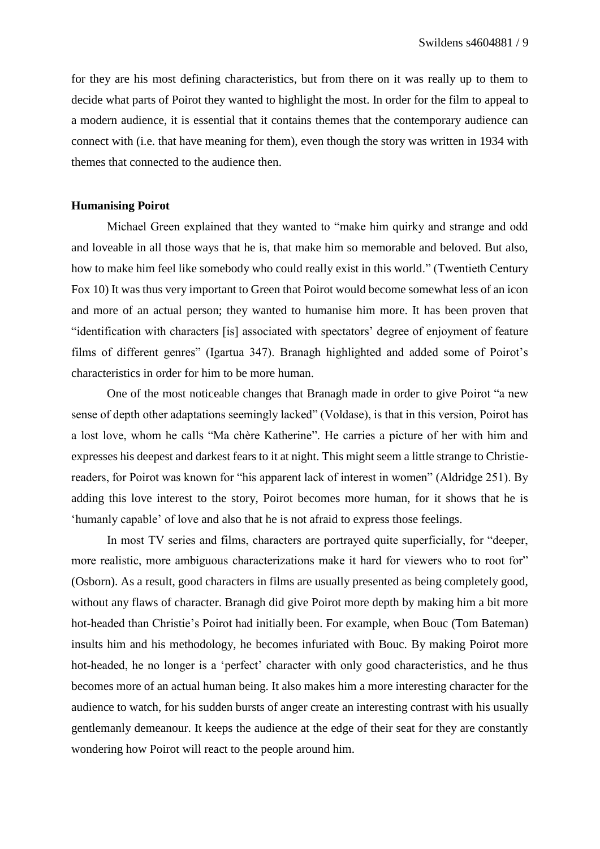for they are his most defining characteristics, but from there on it was really up to them to decide what parts of Poirot they wanted to highlight the most. In order for the film to appeal to a modern audience, it is essential that it contains themes that the contemporary audience can connect with (i.e. that have meaning for them), even though the story was written in 1934 with themes that connected to the audience then.

## <span id="page-9-0"></span>**Humanising Poirot**

Michael Green explained that they wanted to "make him quirky and strange and odd and loveable in all those ways that he is, that make him so memorable and beloved. But also, how to make him feel like somebody who could really exist in this world." (Twentieth Century Fox 10) It was thus very important to Green that Poirot would become somewhat less of an icon and more of an actual person; they wanted to humanise him more. It has been proven that "identification with characters [is] associated with spectators' degree of enjoyment of feature films of different genres" (Igartua 347). Branagh highlighted and added some of Poirot's characteristics in order for him to be more human.

One of the most noticeable changes that Branagh made in order to give Poirot "a new sense of depth other adaptations seemingly lacked" (Voldase), is that in this version, Poirot has a lost love, whom he calls "Ma chère Katherine". He carries a picture of her with him and expresses his deepest and darkest fears to it at night. This might seem a little strange to Christiereaders, for Poirot was known for "his apparent lack of interest in women" (Aldridge 251). By adding this love interest to the story, Poirot becomes more human, for it shows that he is 'humanly capable' of love and also that he is not afraid to express those feelings.

In most TV series and films, characters are portrayed quite superficially, for "deeper, more realistic, more ambiguous characterizations make it hard for viewers who to root for" (Osborn). As a result, good characters in films are usually presented as being completely good, without any flaws of character. Branagh did give Poirot more depth by making him a bit more hot-headed than Christie's Poirot had initially been. For example, when Bouc (Tom Bateman) insults him and his methodology, he becomes infuriated with Bouc. By making Poirot more hot-headed, he no longer is a 'perfect' character with only good characteristics, and he thus becomes more of an actual human being. It also makes him a more interesting character for the audience to watch, for his sudden bursts of anger create an interesting contrast with his usually gentlemanly demeanour. It keeps the audience at the edge of their seat for they are constantly wondering how Poirot will react to the people around him.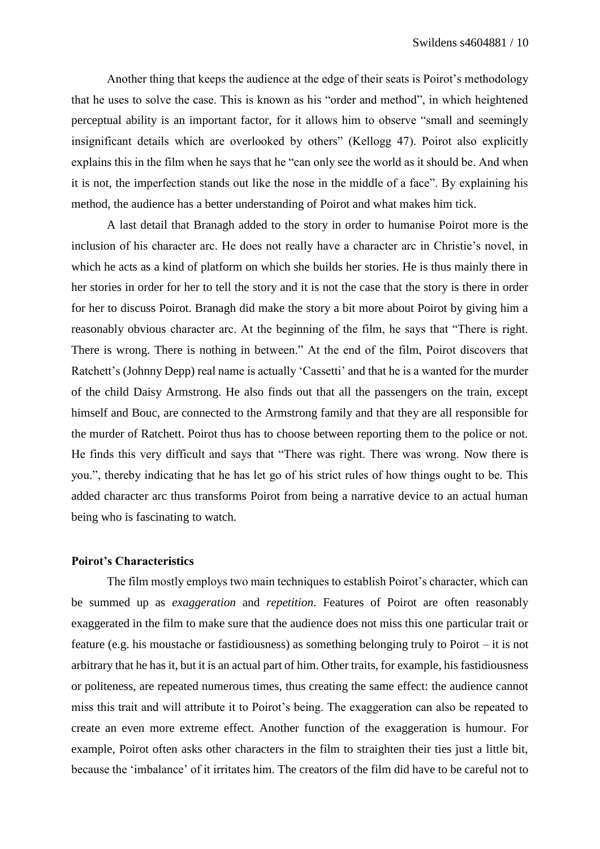Another thing that keeps the audience at the edge of their seats is Poirot's methodology that he uses to solve the case. This is known as his "order and method", in which heightened perceptual ability is an important factor, for it allows him to observe "small and seemingly insignificant details which are overlooked by others" (Kellogg 47). Poirot also explicitly explains this in the film when he says that he "can only see the world as it should be. And when it is not, the imperfection stands out like the nose in the middle of a face". By explaining his method, the audience has a better understanding of Poirot and what makes him tick.

A last detail that Branagh added to the story in order to humanise Poirot more is the inclusion of his character arc. He does not really have a character arc in Christie's novel, in which he acts as a kind of platform on which she builds her stories. He is thus mainly there in her stories in order for her to tell the story and it is not the case that the story is there in order for her to discuss Poirot. Branagh did make the story a bit more about Poirot by giving him a reasonably obvious character arc. At the beginning of the film, he says that "There is right. There is wrong. There is nothing in between." At the end of the film, Poirot discovers that Ratchett's (Johnny Depp) real name is actually 'Cassetti' and that he is a wanted for the murder of the child Daisy Armstrong. He also finds out that all the passengers on the train, except himself and Bouc, are connected to the Armstrong family and that they are all responsible for the murder of Ratchett. Poirot thus has to choose between reporting them to the police or not. He finds this very difficult and says that "There was right. There was wrong. Now there is you.", thereby indicating that he has let go of his strict rules of how things ought to be. This added character arc thus transforms Poirot from being a narrative device to an actual human being who is fascinating to watch.

#### <span id="page-10-0"></span>**Poirot's Characteristics**

The film mostly employs two main techniques to establish Poirot's character, which can be summed up as *exaggeration* and *repetition*. Features of Poirot are often reasonably exaggerated in the film to make sure that the audience does not miss this one particular trait or feature (e.g. his moustache or fastidiousness) as something belonging truly to Poirot – it is not arbitrary that he has it, but it is an actual part of him. Other traits, for example, his fastidiousness or politeness, are repeated numerous times, thus creating the same effect: the audience cannot miss this trait and will attribute it to Poirot's being. The exaggeration can also be repeated to create an even more extreme effect. Another function of the exaggeration is humour. For example, Poirot often asks other characters in the film to straighten their ties just a little bit, because the 'imbalance' of it irritates him. The creators of the film did have to be careful not to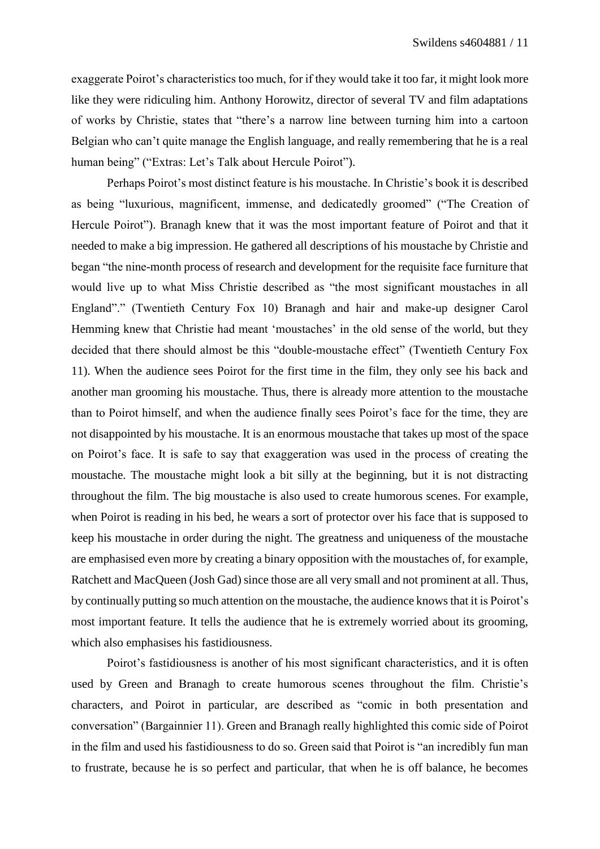exaggerate Poirot's characteristics too much, for if they would take it too far, it might look more like they were ridiculing him. Anthony Horowitz, director of several TV and film adaptations of works by Christie, states that "there's a narrow line between turning him into a cartoon Belgian who can't quite manage the English language, and really remembering that he is a real human being" ("Extras: Let's Talk about Hercule Poirot").

Perhaps Poirot's most distinct feature is his moustache. In Christie's book it is described as being "luxurious, magnificent, immense, and dedicatedly groomed" ("The Creation of Hercule Poirot"). Branagh knew that it was the most important feature of Poirot and that it needed to make a big impression. He gathered all descriptions of his moustache by Christie and began "the nine-month process of research and development for the requisite face furniture that would live up to what Miss Christie described as "the most significant moustaches in all England"." (Twentieth Century Fox 10) Branagh and hair and make-up designer Carol Hemming knew that Christie had meant 'moustaches' in the old sense of the world, but they decided that there should almost be this "double-moustache effect" (Twentieth Century Fox 11). When the audience sees Poirot for the first time in the film, they only see his back and another man grooming his moustache. Thus, there is already more attention to the moustache than to Poirot himself, and when the audience finally sees Poirot's face for the time, they are not disappointed by his moustache. It is an enormous moustache that takes up most of the space on Poirot's face. It is safe to say that exaggeration was used in the process of creating the moustache. The moustache might look a bit silly at the beginning, but it is not distracting throughout the film. The big moustache is also used to create humorous scenes. For example, when Poirot is reading in his bed, he wears a sort of protector over his face that is supposed to keep his moustache in order during the night. The greatness and uniqueness of the moustache are emphasised even more by creating a binary opposition with the moustaches of, for example, Ratchett and MacQueen (Josh Gad) since those are all very small and not prominent at all. Thus, by continually putting so much attention on the moustache, the audience knows that it is Poirot's most important feature. It tells the audience that he is extremely worried about its grooming, which also emphasises his fastidiousness.

Poirot's fastidiousness is another of his most significant characteristics, and it is often used by Green and Branagh to create humorous scenes throughout the film. Christie's characters, and Poirot in particular, are described as "comic in both presentation and conversation" (Bargainnier 11). Green and Branagh really highlighted this comic side of Poirot in the film and used his fastidiousness to do so. Green said that Poirot is "an incredibly fun man to frustrate, because he is so perfect and particular, that when he is off balance, he becomes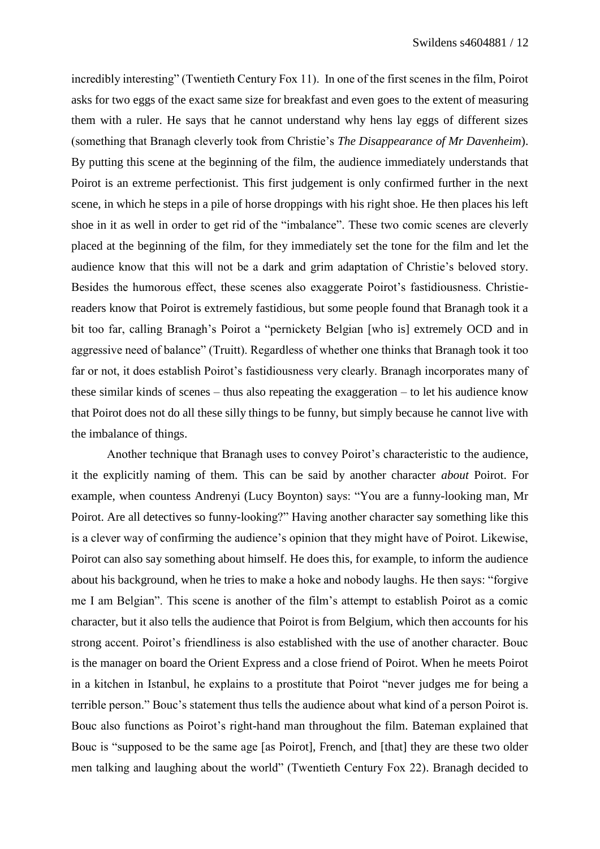incredibly interesting" (Twentieth Century Fox 11). In one of the first scenes in the film, Poirot asks for two eggs of the exact same size for breakfast and even goes to the extent of measuring them with a ruler. He says that he cannot understand why hens lay eggs of different sizes (something that Branagh cleverly took from Christie's *The Disappearance of Mr Davenheim*). By putting this scene at the beginning of the film, the audience immediately understands that Poirot is an extreme perfectionist. This first judgement is only confirmed further in the next scene, in which he steps in a pile of horse droppings with his right shoe. He then places his left shoe in it as well in order to get rid of the "imbalance". These two comic scenes are cleverly placed at the beginning of the film, for they immediately set the tone for the film and let the audience know that this will not be a dark and grim adaptation of Christie's beloved story. Besides the humorous effect, these scenes also exaggerate Poirot's fastidiousness. Christiereaders know that Poirot is extremely fastidious, but some people found that Branagh took it a bit too far, calling Branagh's Poirot a "pernickety Belgian [who is] extremely OCD and in aggressive need of balance" (Truitt). Regardless of whether one thinks that Branagh took it too far or not, it does establish Poirot's fastidiousness very clearly. Branagh incorporates many of these similar kinds of scenes – thus also repeating the exaggeration – to let his audience know that Poirot does not do all these silly things to be funny, but simply because he cannot live with the imbalance of things.

Another technique that Branagh uses to convey Poirot's characteristic to the audience, it the explicitly naming of them. This can be said by another character *about* Poirot. For example, when countess Andrenyi (Lucy Boynton) says: "You are a funny-looking man, Mr Poirot. Are all detectives so funny-looking?" Having another character say something like this is a clever way of confirming the audience's opinion that they might have of Poirot. Likewise, Poirot can also say something about himself. He does this, for example, to inform the audience about his background, when he tries to make a hoke and nobody laughs. He then says: "forgive me I am Belgian". This scene is another of the film's attempt to establish Poirot as a comic character, but it also tells the audience that Poirot is from Belgium, which then accounts for his strong accent. Poirot's friendliness is also established with the use of another character. Bouc is the manager on board the Orient Express and a close friend of Poirot. When he meets Poirot in a kitchen in Istanbul, he explains to a prostitute that Poirot "never judges me for being a terrible person." Bouc's statement thus tells the audience about what kind of a person Poirot is. Bouc also functions as Poirot's right-hand man throughout the film. Bateman explained that Bouc is "supposed to be the same age [as Poirot], French, and [that] they are these two older men talking and laughing about the world" (Twentieth Century Fox 22). Branagh decided to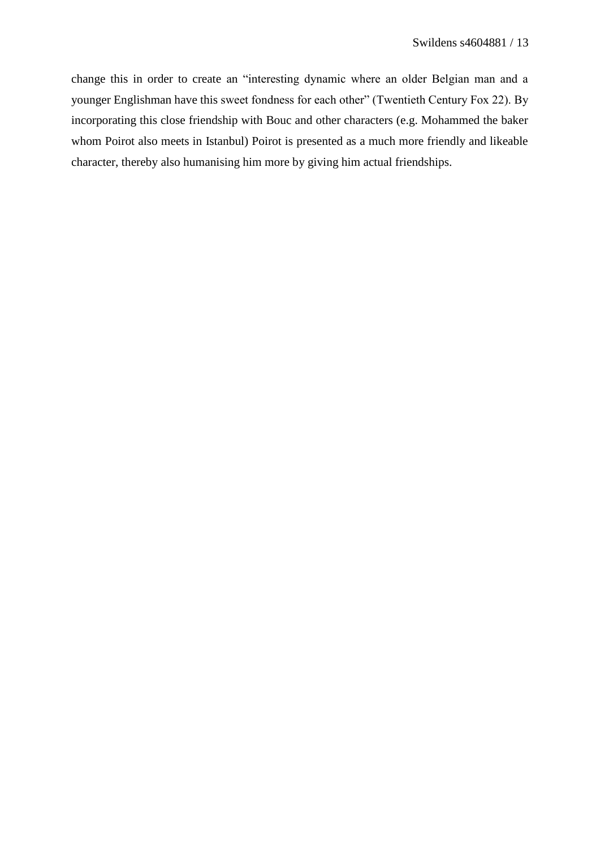change this in order to create an "interesting dynamic where an older Belgian man and a younger Englishman have this sweet fondness for each other" (Twentieth Century Fox 22). By incorporating this close friendship with Bouc and other characters (e.g. Mohammed the baker whom Poirot also meets in Istanbul) Poirot is presented as a much more friendly and likeable character, thereby also humanising him more by giving him actual friendships.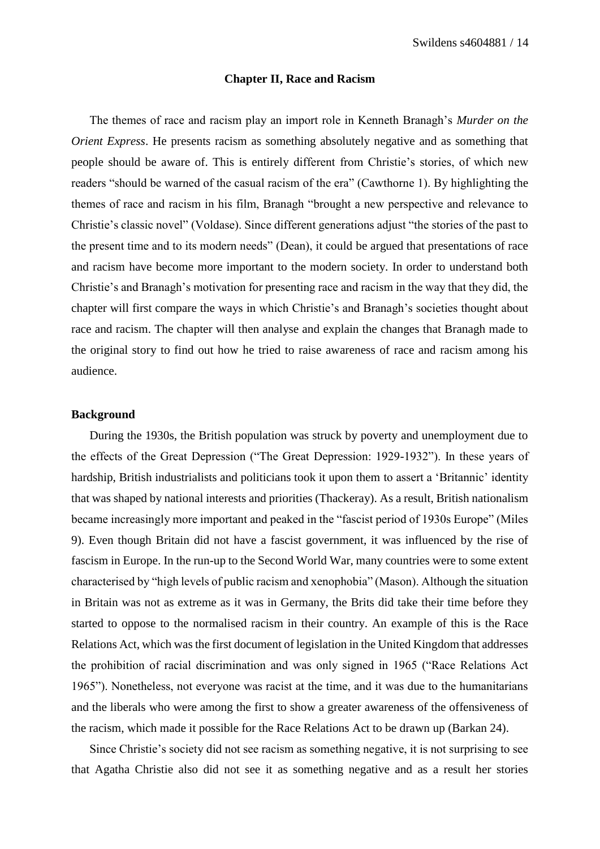#### **Chapter II, Race and Racism**

<span id="page-14-0"></span>The themes of race and racism play an import role in Kenneth Branagh's *Murder on the Orient Express*. He presents racism as something absolutely negative and as something that people should be aware of. This is entirely different from Christie's stories, of which new readers "should be warned of the casual racism of the era" (Cawthorne 1). By highlighting the themes of race and racism in his film, Branagh "brought a new perspective and relevance to Christie's classic novel" (Voldase). Since different generations adjust "the stories of the past to the present time and to its modern needs" (Dean), it could be argued that presentations of race and racism have become more important to the modern society. In order to understand both Christie's and Branagh's motivation for presenting race and racism in the way that they did, the chapter will first compare the ways in which Christie's and Branagh's societies thought about race and racism. The chapter will then analyse and explain the changes that Branagh made to the original story to find out how he tried to raise awareness of race and racism among his audience.

# <span id="page-14-1"></span>**Background**

During the 1930s, the British population was struck by poverty and unemployment due to the effects of the Great Depression ("The Great Depression: 1929-1932"). In these years of hardship, British industrialists and politicians took it upon them to assert a 'Britannic' identity that was shaped by national interests and priorities (Thackeray). As a result, British nationalism became increasingly more important and peaked in the "fascist period of 1930s Europe" (Miles 9). Even though Britain did not have a fascist government, it was influenced by the rise of fascism in Europe. In the run-up to the Second World War, many countries were to some extent characterised by "high levels of public racism and xenophobia" (Mason). Although the situation in Britain was not as extreme as it was in Germany, the Brits did take their time before they started to oppose to the normalised racism in their country. An example of this is the Race Relations Act, which was the first document of legislation in the United Kingdom that addresses the prohibition of racial discrimination and was only signed in 1965 ("Race Relations Act 1965"). Nonetheless, not everyone was racist at the time, and it was due to the humanitarians and the liberals who were among the first to show a greater awareness of the offensiveness of the racism, which made it possible for the Race Relations Act to be drawn up (Barkan 24).

Since Christie's society did not see racism as something negative, it is not surprising to see that Agatha Christie also did not see it as something negative and as a result her stories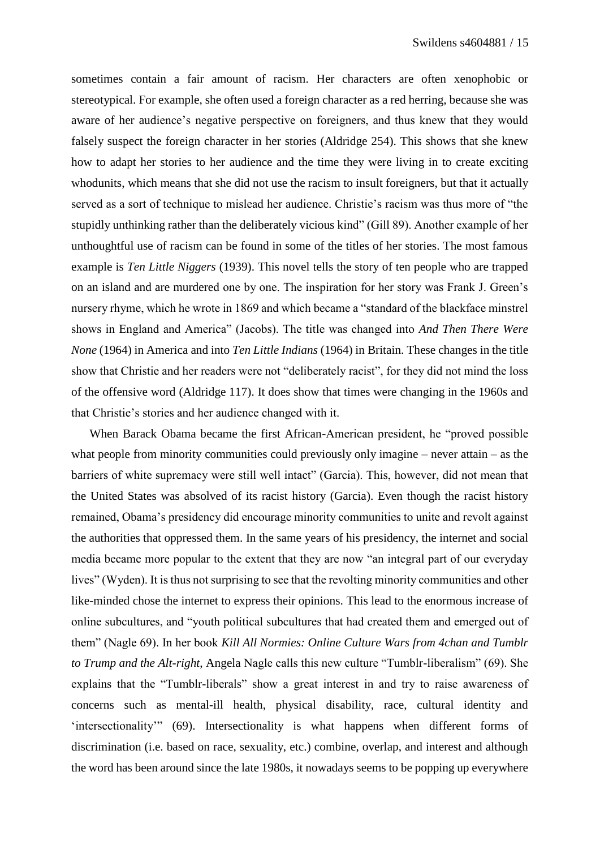sometimes contain a fair amount of racism. Her characters are often xenophobic or stereotypical. For example, she often used a foreign character as a red herring, because she was aware of her audience's negative perspective on foreigners, and thus knew that they would falsely suspect the foreign character in her stories (Aldridge 254). This shows that she knew how to adapt her stories to her audience and the time they were living in to create exciting whodunits, which means that she did not use the racism to insult foreigners, but that it actually served as a sort of technique to mislead her audience. Christie's racism was thus more of "the stupidly unthinking rather than the deliberately vicious kind" (Gill 89). Another example of her unthoughtful use of racism can be found in some of the titles of her stories. The most famous example is *Ten Little Niggers* (1939). This novel tells the story of ten people who are trapped on an island and are murdered one by one. The inspiration for her story was Frank J. Green's nursery rhyme, which he wrote in 1869 and which became a "standard of the blackface minstrel shows in England and America" (Jacobs). The title was changed into *And Then There Were None* (1964) in America and into *Ten Little Indians* (1964) in Britain. These changes in the title show that Christie and her readers were not "deliberately racist", for they did not mind the loss of the offensive word (Aldridge 117). It does show that times were changing in the 1960s and that Christie's stories and her audience changed with it.

When Barack Obama became the first African-American president, he "proved possible what people from minority communities could previously only imagine – never attain – as the barriers of white supremacy were still well intact" (Garcia). This, however, did not mean that the United States was absolved of its racist history (Garcia). Even though the racist history remained, Obama's presidency did encourage minority communities to unite and revolt against the authorities that oppressed them. In the same years of his presidency, the internet and social media became more popular to the extent that they are now "an integral part of our everyday lives" (Wyden). It is thus not surprising to see that the revolting minority communities and other like-minded chose the internet to express their opinions. This lead to the enormous increase of online subcultures, and "youth political subcultures that had created them and emerged out of them" (Nagle 69). In her book *Kill All Normies: Online Culture Wars from 4chan and Tumblr to Trump and the Alt-right*, Angela Nagle calls this new culture "Tumblr-liberalism" (69). She explains that the "Tumblr-liberals" show a great interest in and try to raise awareness of concerns such as mental-ill health, physical disability, race, cultural identity and 'intersectionality'" (69). Intersectionality is what happens when different forms of discrimination (i.e. based on race, sexuality, etc.) combine, overlap, and interest and although the word has been around since the late 1980s, it nowadays seems to be popping up everywhere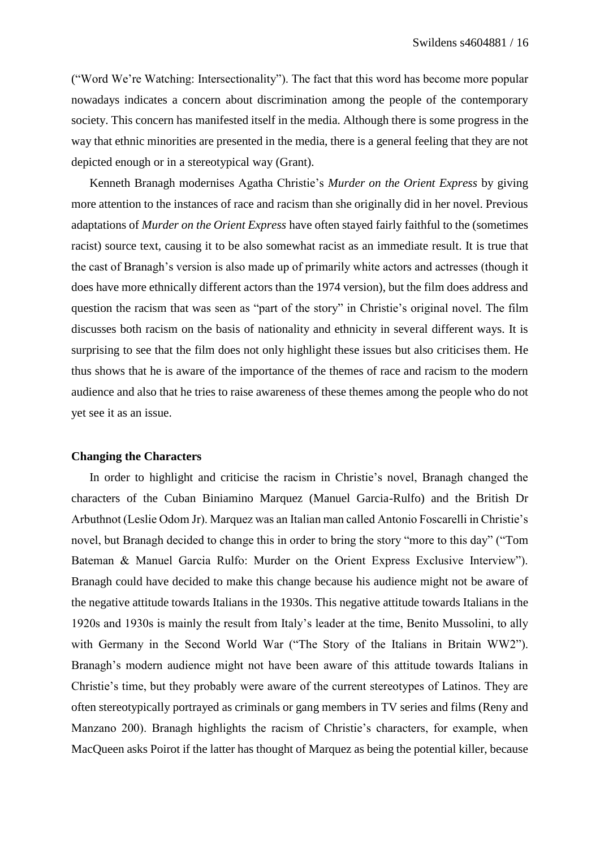("Word We're Watching: Intersectionality"). The fact that this word has become more popular nowadays indicates a concern about discrimination among the people of the contemporary society. This concern has manifested itself in the media. Although there is some progress in the way that ethnic minorities are presented in the media, there is a general feeling that they are not depicted enough or in a stereotypical way (Grant).

Kenneth Branagh modernises Agatha Christie's *Murder on the Orient Express* by giving more attention to the instances of race and racism than she originally did in her novel. Previous adaptations of *Murder on the Orient Express* have often stayed fairly faithful to the (sometimes racist) source text, causing it to be also somewhat racist as an immediate result. It is true that the cast of Branagh's version is also made up of primarily white actors and actresses (though it does have more ethnically different actors than the 1974 version), but the film does address and question the racism that was seen as "part of the story" in Christie's original novel. The film discusses both racism on the basis of nationality and ethnicity in several different ways. It is surprising to see that the film does not only highlight these issues but also criticises them. He thus shows that he is aware of the importance of the themes of race and racism to the modern audience and also that he tries to raise awareness of these themes among the people who do not yet see it as an issue.

# <span id="page-16-0"></span>**Changing the Characters**

In order to highlight and criticise the racism in Christie's novel, Branagh changed the characters of the Cuban Biniamino Marquez (Manuel Garcia-Rulfo) and the British Dr Arbuthnot (Leslie Odom Jr). Marquez was an Italian man called Antonio Foscarelli in Christie's novel, but Branagh decided to change this in order to bring the story "more to this day" ("Tom Bateman & Manuel Garcia Rulfo: Murder on the Orient Express Exclusive Interview"). Branagh could have decided to make this change because his audience might not be aware of the negative attitude towards Italians in the 1930s. This negative attitude towards Italians in the 1920s and 1930s is mainly the result from Italy's leader at the time, Benito Mussolini, to ally with Germany in the Second World War ("The Story of the Italians in Britain WW2"). Branagh's modern audience might not have been aware of this attitude towards Italians in Christie's time, but they probably were aware of the current stereotypes of Latinos. They are often stereotypically portrayed as criminals or gang members in TV series and films (Reny and Manzano 200). Branagh highlights the racism of Christie's characters, for example, when MacQueen asks Poirot if the latter has thought of Marquez as being the potential killer, because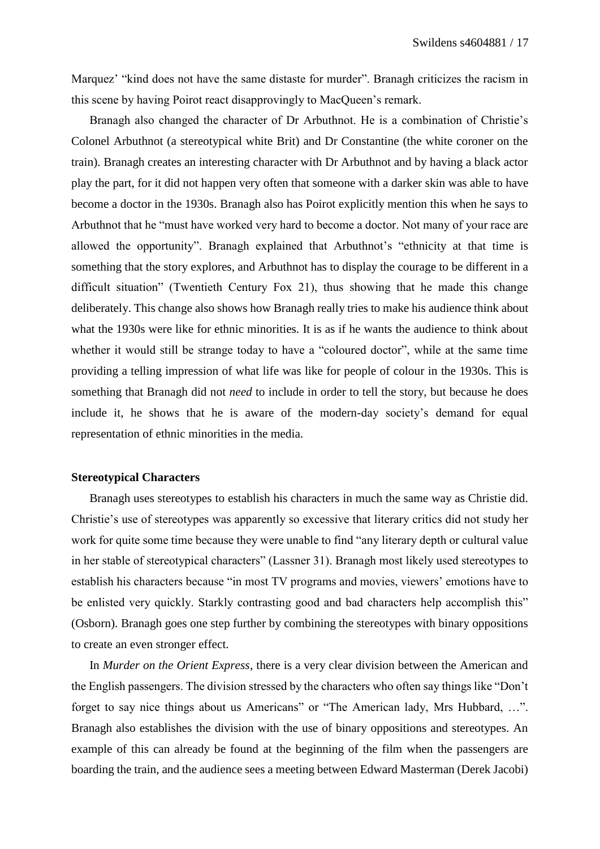Marquez' "kind does not have the same distaste for murder". Branagh criticizes the racism in this scene by having Poirot react disapprovingly to MacQueen's remark.

Branagh also changed the character of Dr Arbuthnot. He is a combination of Christie's Colonel Arbuthnot (a stereotypical white Brit) and Dr Constantine (the white coroner on the train). Branagh creates an interesting character with Dr Arbuthnot and by having a black actor play the part, for it did not happen very often that someone with a darker skin was able to have become a doctor in the 1930s. Branagh also has Poirot explicitly mention this when he says to Arbuthnot that he "must have worked very hard to become a doctor. Not many of your race are allowed the opportunity". Branagh explained that Arbuthnot's "ethnicity at that time is something that the story explores, and Arbuthnot has to display the courage to be different in a difficult situation" (Twentieth Century Fox 21), thus showing that he made this change deliberately. This change also shows how Branagh really tries to make his audience think about what the 1930s were like for ethnic minorities. It is as if he wants the audience to think about whether it would still be strange today to have a "coloured doctor", while at the same time providing a telling impression of what life was like for people of colour in the 1930s. This is something that Branagh did not *need* to include in order to tell the story, but because he does include it, he shows that he is aware of the modern-day society's demand for equal representation of ethnic minorities in the media.

#### <span id="page-17-0"></span>**Stereotypical Characters**

Branagh uses stereotypes to establish his characters in much the same way as Christie did. Christie's use of stereotypes was apparently so excessive that literary critics did not study her work for quite some time because they were unable to find "any literary depth or cultural value in her stable of stereotypical characters" (Lassner 31). Branagh most likely used stereotypes to establish his characters because "in most TV programs and movies, viewers' emotions have to be enlisted very quickly. Starkly contrasting good and bad characters help accomplish this" (Osborn). Branagh goes one step further by combining the stereotypes with binary oppositions to create an even stronger effect.

In *Murder on the Orient Express*, there is a very clear division between the American and the English passengers. The division stressed by the characters who often say things like "Don't forget to say nice things about us Americans" or "The American lady, Mrs Hubbard, …". Branagh also establishes the division with the use of binary oppositions and stereotypes. An example of this can already be found at the beginning of the film when the passengers are boarding the train, and the audience sees a meeting between Edward Masterman (Derek Jacobi)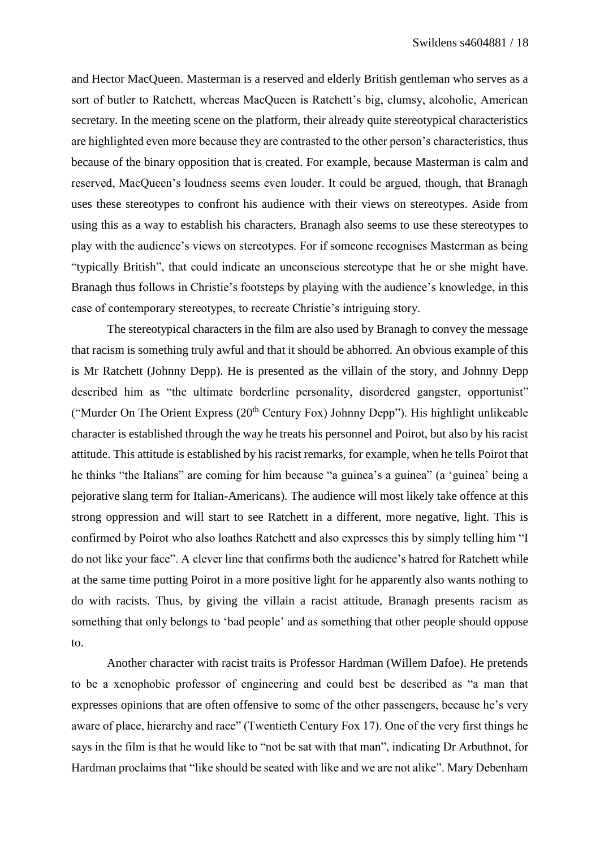and Hector MacQueen. Masterman is a reserved and elderly British gentleman who serves as a sort of butler to Ratchett, whereas MacQueen is Ratchett's big, clumsy, alcoholic, American secretary. In the meeting scene on the platform, their already quite stereotypical characteristics are highlighted even more because they are contrasted to the other person's characteristics, thus because of the binary opposition that is created. For example, because Masterman is calm and reserved, MacQueen's loudness seems even louder. It could be argued, though, that Branagh uses these stereotypes to confront his audience with their views on stereotypes. Aside from using this as a way to establish his characters, Branagh also seems to use these stereotypes to play with the audience's views on stereotypes. For if someone recognises Masterman as being "typically British", that could indicate an unconscious stereotype that he or she might have. Branagh thus follows in Christie's footsteps by playing with the audience's knowledge, in this case of contemporary stereotypes, to recreate Christie's intriguing story.

The stereotypical characters in the film are also used by Branagh to convey the message that racism is something truly awful and that it should be abhorred. An obvious example of this is Mr Ratchett (Johnny Depp). He is presented as the villain of the story, and Johnny Depp described him as "the ultimate borderline personality, disordered gangster, opportunist" ("Murder On The Orient Express (20<sup>th</sup> Century Fox) Johnny Depp"). His highlight unlikeable character is established through the way he treats his personnel and Poirot, but also by his racist attitude. This attitude is established by his racist remarks, for example, when he tells Poirot that he thinks "the Italians" are coming for him because "a guinea's a guinea" (a 'guinea' being a pejorative slang term for Italian-Americans). The audience will most likely take offence at this strong oppression and will start to see Ratchett in a different, more negative, light. This is confirmed by Poirot who also loathes Ratchett and also expresses this by simply telling him "I do not like your face". A clever line that confirms both the audience's hatred for Ratchett while at the same time putting Poirot in a more positive light for he apparently also wants nothing to do with racists. Thus, by giving the villain a racist attitude, Branagh presents racism as something that only belongs to 'bad people' and as something that other people should oppose to.

Another character with racist traits is Professor Hardman (Willem Dafoe). He pretends to be a xenophobic professor of engineering and could best be described as "a man that expresses opinions that are often offensive to some of the other passengers, because he's very aware of place, hierarchy and race" (Twentieth Century Fox 17). One of the very first things he says in the film is that he would like to "not be sat with that man", indicating Dr Arbuthnot, for Hardman proclaims that "like should be seated with like and we are not alike". Mary Debenham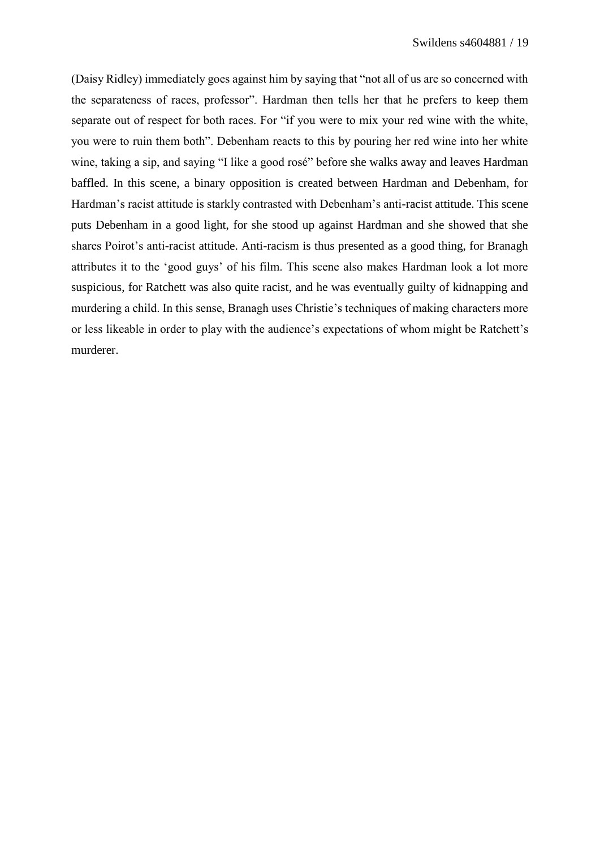(Daisy Ridley) immediately goes against him by saying that "not all of us are so concerned with the separateness of races, professor". Hardman then tells her that he prefers to keep them separate out of respect for both races. For "if you were to mix your red wine with the white, you were to ruin them both". Debenham reacts to this by pouring her red wine into her white wine, taking a sip, and saying "I like a good rosé" before she walks away and leaves Hardman baffled. In this scene, a binary opposition is created between Hardman and Debenham, for Hardman's racist attitude is starkly contrasted with Debenham's anti-racist attitude. This scene puts Debenham in a good light, for she stood up against Hardman and she showed that she shares Poirot's anti-racist attitude. Anti-racism is thus presented as a good thing, for Branagh attributes it to the 'good guys' of his film. This scene also makes Hardman look a lot more suspicious, for Ratchett was also quite racist, and he was eventually guilty of kidnapping and murdering a child. In this sense, Branagh uses Christie's techniques of making characters more or less likeable in order to play with the audience's expectations of whom might be Ratchett's murderer.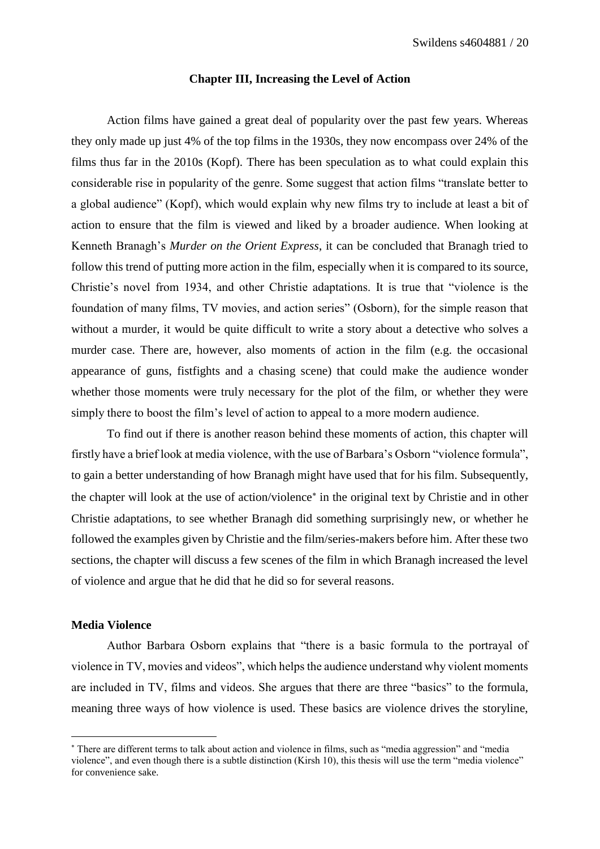#### **Chapter III, Increasing the Level of Action**

<span id="page-20-0"></span>Action films have gained a great deal of popularity over the past few years. Whereas they only made up just 4% of the top films in the 1930s, they now encompass over 24% of the films thus far in the 2010s (Kopf). There has been speculation as to what could explain this considerable rise in popularity of the genre. Some suggest that action films "translate better to a global audience" (Kopf), which would explain why new films try to include at least a bit of action to ensure that the film is viewed and liked by a broader audience. When looking at Kenneth Branagh's *Murder on the Orient Express*, it can be concluded that Branagh tried to follow this trend of putting more action in the film, especially when it is compared to its source, Christie's novel from 1934, and other Christie adaptations. It is true that "violence is the foundation of many films, TV movies, and action series" (Osborn), for the simple reason that without a murder, it would be quite difficult to write a story about a detective who solves a murder case. There are, however, also moments of action in the film (e.g. the occasional appearance of guns, fistfights and a chasing scene) that could make the audience wonder whether those moments were truly necessary for the plot of the film, or whether they were simply there to boost the film's level of action to appeal to a more modern audience.

To find out if there is another reason behind these moments of action, this chapter will firstly have a brief look at media violence, with the use of Barbara's Osborn "violence formula", to gain a better understanding of how Branagh might have used that for his film. Subsequently, the chapter will look at the use of action/violence<sup>\*</sup> in the original text by Christie and in other Christie adaptations, to see whether Branagh did something surprisingly new, or whether he followed the examples given by Christie and the film/series-makers before him. After these two sections, the chapter will discuss a few scenes of the film in which Branagh increased the level of violence and argue that he did that he did so for several reasons.

# <span id="page-20-1"></span>**Media Violence**

**.** 

Author Barbara Osborn explains that "there is a basic formula to the portrayal of violence in TV, movies and videos", which helps the audience understand why violent moments are included in TV, films and videos. She argues that there are three "basics" to the formula, meaning three ways of how violence is used. These basics are violence drives the storyline,

There are different terms to talk about action and violence in films, such as "media aggression" and "media violence", and even though there is a subtle distinction (Kirsh 10), this thesis will use the term "media violence" for convenience sake.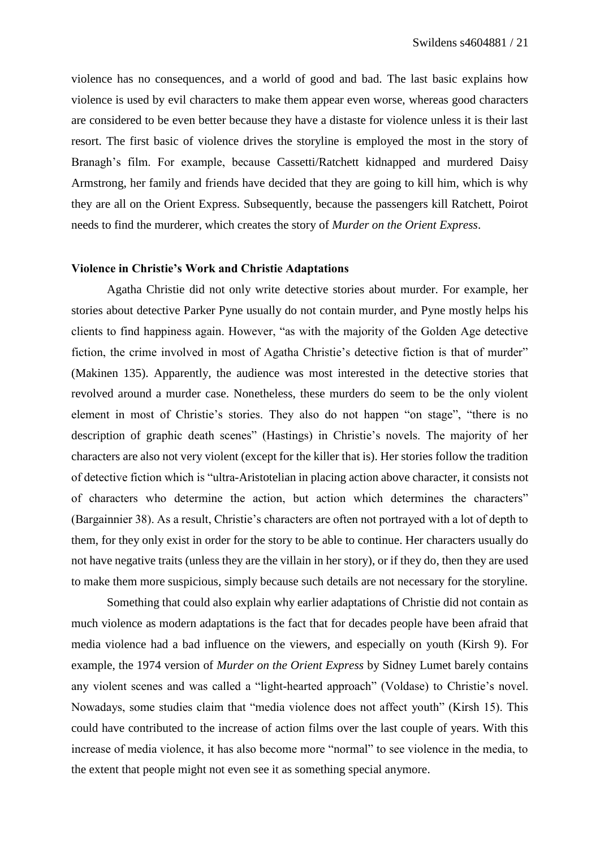violence has no consequences, and a world of good and bad. The last basic explains how violence is used by evil characters to make them appear even worse, whereas good characters are considered to be even better because they have a distaste for violence unless it is their last resort. The first basic of violence drives the storyline is employed the most in the story of Branagh's film. For example, because Cassetti/Ratchett kidnapped and murdered Daisy Armstrong, her family and friends have decided that they are going to kill him, which is why they are all on the Orient Express. Subsequently, because the passengers kill Ratchett, Poirot needs to find the murderer, which creates the story of *Murder on the Orient Express*.

#### <span id="page-21-0"></span>**Violence in Christie's Work and Christie Adaptations**

Agatha Christie did not only write detective stories about murder. For example, her stories about detective Parker Pyne usually do not contain murder, and Pyne mostly helps his clients to find happiness again. However, "as with the majority of the Golden Age detective fiction, the crime involved in most of Agatha Christie's detective fiction is that of murder" (Makinen 135). Apparently, the audience was most interested in the detective stories that revolved around a murder case. Nonetheless, these murders do seem to be the only violent element in most of Christie's stories. They also do not happen "on stage", "there is no description of graphic death scenes" (Hastings) in Christie's novels. The majority of her characters are also not very violent (except for the killer that is). Her stories follow the tradition of detective fiction which is "ultra-Aristotelian in placing action above character, it consists not of characters who determine the action, but action which determines the characters" (Bargainnier 38). As a result, Christie's characters are often not portrayed with a lot of depth to them, for they only exist in order for the story to be able to continue. Her characters usually do not have negative traits (unless they are the villain in her story), or if they do, then they are used to make them more suspicious, simply because such details are not necessary for the storyline.

Something that could also explain why earlier adaptations of Christie did not contain as much violence as modern adaptations is the fact that for decades people have been afraid that media violence had a bad influence on the viewers, and especially on youth (Kirsh 9). For example, the 1974 version of *Murder on the Orient Express* by Sidney Lumet barely contains any violent scenes and was called a "light-hearted approach" (Voldase) to Christie's novel. Nowadays, some studies claim that "media violence does not affect youth" (Kirsh 15). This could have contributed to the increase of action films over the last couple of years. With this increase of media violence, it has also become more "normal" to see violence in the media, to the extent that people might not even see it as something special anymore.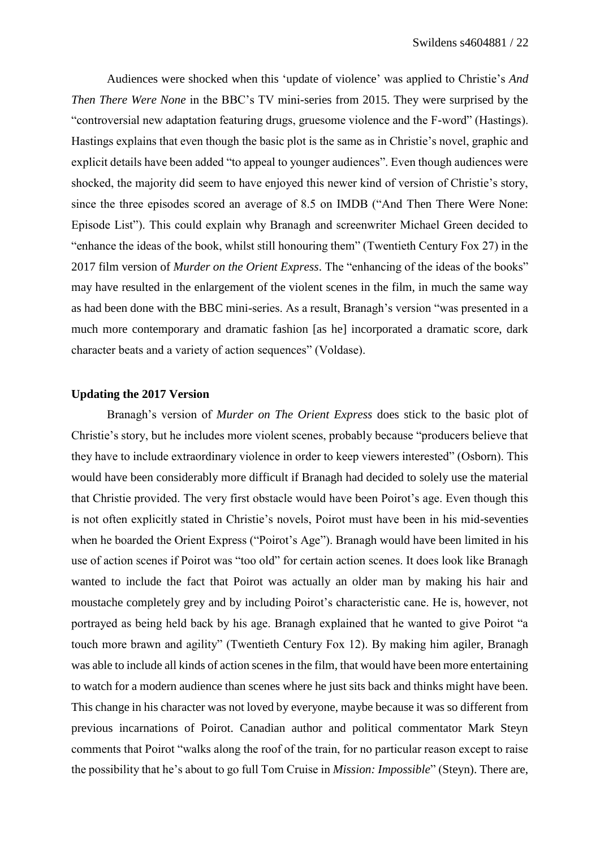Audiences were shocked when this 'update of violence' was applied to Christie's *And Then There Were None* in the BBC's TV mini-series from 2015. They were surprised by the "controversial new adaptation featuring drugs, gruesome violence and the F-word" (Hastings). Hastings explains that even though the basic plot is the same as in Christie's novel, graphic and explicit details have been added "to appeal to younger audiences". Even though audiences were shocked, the majority did seem to have enjoyed this newer kind of version of Christie's story, since the three episodes scored an average of 8.5 on IMDB ("And Then There Were None: Episode List"). This could explain why Branagh and screenwriter Michael Green decided to "enhance the ideas of the book, whilst still honouring them" (Twentieth Century Fox 27) in the 2017 film version of *Murder on the Orient Express*. The "enhancing of the ideas of the books" may have resulted in the enlargement of the violent scenes in the film, in much the same way as had been done with the BBC mini-series. As a result, Branagh's version "was presented in a much more contemporary and dramatic fashion [as he] incorporated a dramatic score, dark character beats and a variety of action sequences" (Voldase).

## <span id="page-22-0"></span>**Updating the 2017 Version**

Branagh's version of *Murder on The Orient Express* does stick to the basic plot of Christie's story, but he includes more violent scenes, probably because "producers believe that they have to include extraordinary violence in order to keep viewers interested" (Osborn). This would have been considerably more difficult if Branagh had decided to solely use the material that Christie provided. The very first obstacle would have been Poirot's age. Even though this is not often explicitly stated in Christie's novels, Poirot must have been in his mid-seventies when he boarded the Orient Express ("Poirot's Age"). Branagh would have been limited in his use of action scenes if Poirot was "too old" for certain action scenes. It does look like Branagh wanted to include the fact that Poirot was actually an older man by making his hair and moustache completely grey and by including Poirot's characteristic cane. He is, however, not portrayed as being held back by his age. Branagh explained that he wanted to give Poirot "a touch more brawn and agility" (Twentieth Century Fox 12). By making him agiler, Branagh was able to include all kinds of action scenes in the film, that would have been more entertaining to watch for a modern audience than scenes where he just sits back and thinks might have been. This change in his character was not loved by everyone, maybe because it was so different from previous incarnations of Poirot. Canadian author and political commentator Mark Steyn comments that Poirot "walks along the roof of the train, for no particular reason except to raise the possibility that he's about to go full Tom Cruise in *Mission: Impossible*" (Steyn). There are,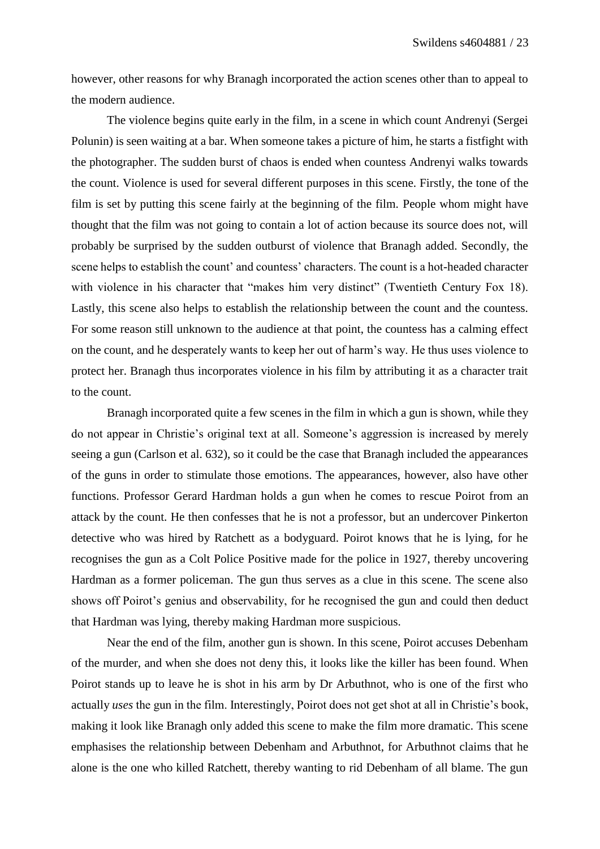however, other reasons for why Branagh incorporated the action scenes other than to appeal to the modern audience.

The violence begins quite early in the film, in a scene in which count Andrenyi (Sergei Polunin) is seen waiting at a bar. When someone takes a picture of him, he starts a fistfight with the photographer. The sudden burst of chaos is ended when countess Andrenyi walks towards the count. Violence is used for several different purposes in this scene. Firstly, the tone of the film is set by putting this scene fairly at the beginning of the film. People whom might have thought that the film was not going to contain a lot of action because its source does not, will probably be surprised by the sudden outburst of violence that Branagh added. Secondly, the scene helps to establish the count' and countess' characters. The count is a hot-headed character with violence in his character that "makes him very distinct" (Twentieth Century Fox 18). Lastly, this scene also helps to establish the relationship between the count and the countess. For some reason still unknown to the audience at that point, the countess has a calming effect on the count, and he desperately wants to keep her out of harm's way. He thus uses violence to protect her. Branagh thus incorporates violence in his film by attributing it as a character trait to the count.

Branagh incorporated quite a few scenes in the film in which a gun is shown, while they do not appear in Christie's original text at all. Someone's aggression is increased by merely seeing a gun (Carlson et al. 632), so it could be the case that Branagh included the appearances of the guns in order to stimulate those emotions. The appearances, however, also have other functions. Professor Gerard Hardman holds a gun when he comes to rescue Poirot from an attack by the count. He then confesses that he is not a professor, but an undercover Pinkerton detective who was hired by Ratchett as a bodyguard. Poirot knows that he is lying, for he recognises the gun as a Colt Police Positive made for the police in 1927, thereby uncovering Hardman as a former policeman. The gun thus serves as a clue in this scene. The scene also shows off Poirot's genius and observability, for he recognised the gun and could then deduct that Hardman was lying, thereby making Hardman more suspicious.

Near the end of the film, another gun is shown. In this scene, Poirot accuses Debenham of the murder, and when she does not deny this, it looks like the killer has been found. When Poirot stands up to leave he is shot in his arm by Dr Arbuthnot, who is one of the first who actually *uses* the gun in the film. Interestingly, Poirot does not get shot at all in Christie's book, making it look like Branagh only added this scene to make the film more dramatic. This scene emphasises the relationship between Debenham and Arbuthnot, for Arbuthnot claims that he alone is the one who killed Ratchett, thereby wanting to rid Debenham of all blame. The gun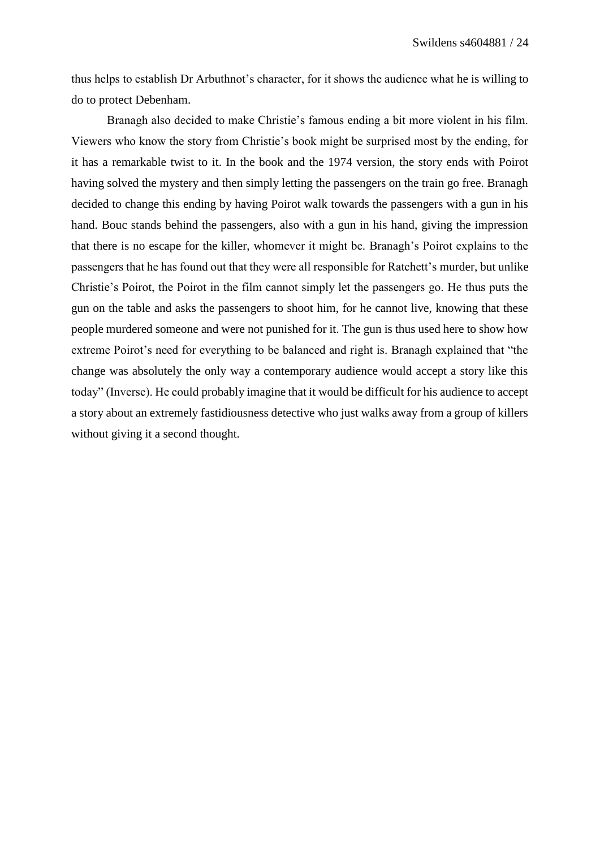thus helps to establish Dr Arbuthnot's character, for it shows the audience what he is willing to do to protect Debenham.

Branagh also decided to make Christie's famous ending a bit more violent in his film. Viewers who know the story from Christie's book might be surprised most by the ending, for it has a remarkable twist to it. In the book and the 1974 version, the story ends with Poirot having solved the mystery and then simply letting the passengers on the train go free. Branagh decided to change this ending by having Poirot walk towards the passengers with a gun in his hand. Bouc stands behind the passengers, also with a gun in his hand, giving the impression that there is no escape for the killer, whomever it might be. Branagh's Poirot explains to the passengers that he has found out that they were all responsible for Ratchett's murder, but unlike Christie's Poirot, the Poirot in the film cannot simply let the passengers go. He thus puts the gun on the table and asks the passengers to shoot him, for he cannot live, knowing that these people murdered someone and were not punished for it. The gun is thus used here to show how extreme Poirot's need for everything to be balanced and right is. Branagh explained that "the change was absolutely the only way a contemporary audience would accept a story like this today" (Inverse). He could probably imagine that it would be difficult for his audience to accept a story about an extremely fastidiousness detective who just walks away from a group of killers without giving it a second thought.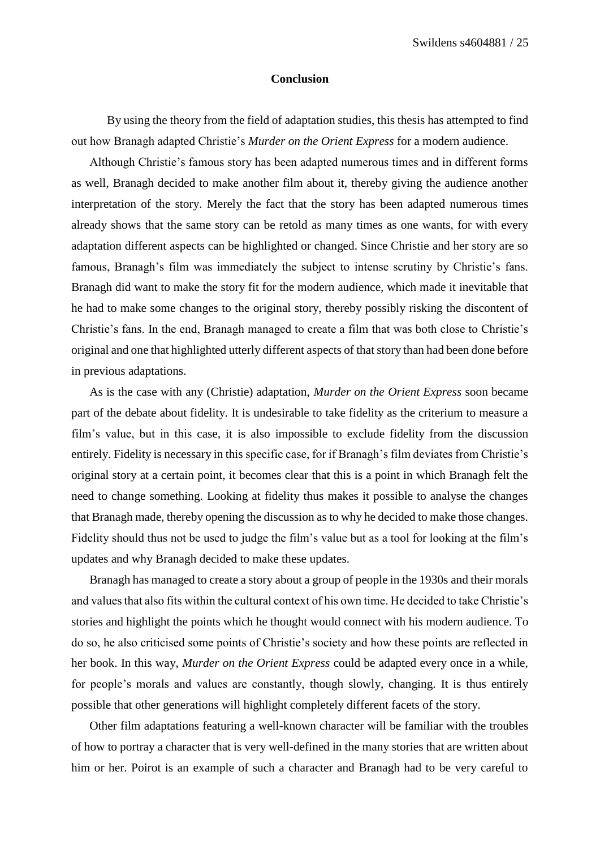#### **Conclusion**

<span id="page-25-0"></span>By using the theory from the field of adaptation studies, this thesis has attempted to find out how Branagh adapted Christie's *Murder on the Orient Express* for a modern audience.

Although Christie's famous story has been adapted numerous times and in different forms as well, Branagh decided to make another film about it, thereby giving the audience another interpretation of the story. Merely the fact that the story has been adapted numerous times already shows that the same story can be retold as many times as one wants, for with every adaptation different aspects can be highlighted or changed. Since Christie and her story are so famous, Branagh's film was immediately the subject to intense scrutiny by Christie's fans. Branagh did want to make the story fit for the modern audience, which made it inevitable that he had to make some changes to the original story, thereby possibly risking the discontent of Christie's fans. In the end, Branagh managed to create a film that was both close to Christie's original and one that highlighted utterly different aspects of that story than had been done before in previous adaptations.

As is the case with any (Christie) adaptation, *Murder on the Orient Express* soon became part of the debate about fidelity. It is undesirable to take fidelity as the criterium to measure a film's value, but in this case, it is also impossible to exclude fidelity from the discussion entirely. Fidelity is necessary in this specific case, for if Branagh's film deviates from Christie's original story at a certain point, it becomes clear that this is a point in which Branagh felt the need to change something. Looking at fidelity thus makes it possible to analyse the changes that Branagh made, thereby opening the discussion as to why he decided to make those changes. Fidelity should thus not be used to judge the film's value but as a tool for looking at the film's updates and why Branagh decided to make these updates.

Branagh has managed to create a story about a group of people in the 1930s and their morals and values that also fits within the cultural context of his own time. He decided to take Christie's stories and highlight the points which he thought would connect with his modern audience. To do so, he also criticised some points of Christie's society and how these points are reflected in her book. In this way, *Murder on the Orient Express* could be adapted every once in a while, for people's morals and values are constantly, though slowly, changing. It is thus entirely possible that other generations will highlight completely different facets of the story.

Other film adaptations featuring a well-known character will be familiar with the troubles of how to portray a character that is very well-defined in the many stories that are written about him or her. Poirot is an example of such a character and Branagh had to be very careful to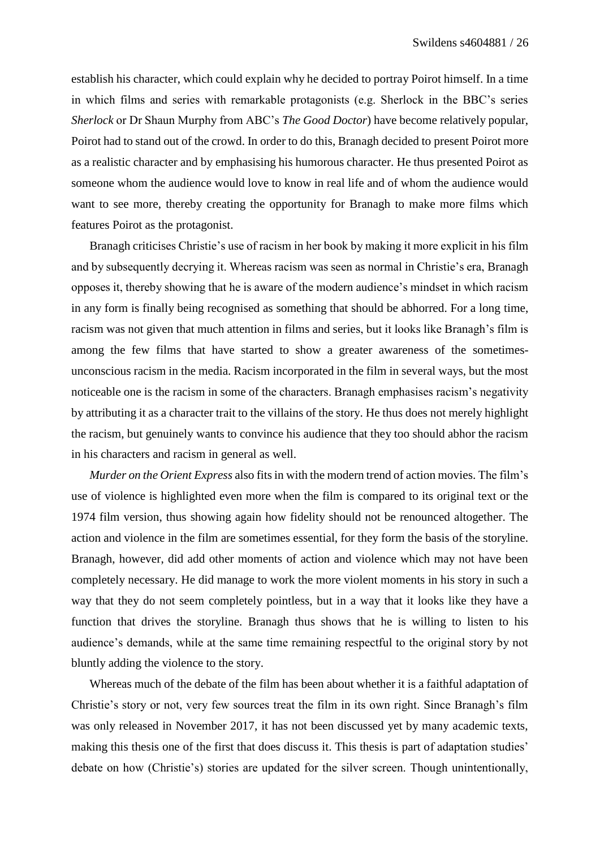establish his character, which could explain why he decided to portray Poirot himself. In a time in which films and series with remarkable protagonists (e.g. Sherlock in the BBC's series *Sherlock* or Dr Shaun Murphy from ABC's *The Good Doctor*) have become relatively popular, Poirot had to stand out of the crowd. In order to do this, Branagh decided to present Poirot more as a realistic character and by emphasising his humorous character. He thus presented Poirot as someone whom the audience would love to know in real life and of whom the audience would want to see more, thereby creating the opportunity for Branagh to make more films which features Poirot as the protagonist.

Branagh criticises Christie's use of racism in her book by making it more explicit in his film and by subsequently decrying it. Whereas racism was seen as normal in Christie's era, Branagh opposes it, thereby showing that he is aware of the modern audience's mindset in which racism in any form is finally being recognised as something that should be abhorred. For a long time, racism was not given that much attention in films and series, but it looks like Branagh's film is among the few films that have started to show a greater awareness of the sometimesunconscious racism in the media. Racism incorporated in the film in several ways, but the most noticeable one is the racism in some of the characters. Branagh emphasises racism's negativity by attributing it as a character trait to the villains of the story. He thus does not merely highlight the racism, but genuinely wants to convince his audience that they too should abhor the racism in his characters and racism in general as well.

*Murder on the Orient Express* also fits in with the modern trend of action movies. The film's use of violence is highlighted even more when the film is compared to its original text or the 1974 film version, thus showing again how fidelity should not be renounced altogether. The action and violence in the film are sometimes essential, for they form the basis of the storyline. Branagh, however, did add other moments of action and violence which may not have been completely necessary. He did manage to work the more violent moments in his story in such a way that they do not seem completely pointless, but in a way that it looks like they have a function that drives the storyline. Branagh thus shows that he is willing to listen to his audience's demands, while at the same time remaining respectful to the original story by not bluntly adding the violence to the story.

Whereas much of the debate of the film has been about whether it is a faithful adaptation of Christie's story or not, very few sources treat the film in its own right. Since Branagh's film was only released in November 2017, it has not been discussed yet by many academic texts, making this thesis one of the first that does discuss it. This thesis is part of adaptation studies' debate on how (Christie's) stories are updated for the silver screen. Though unintentionally,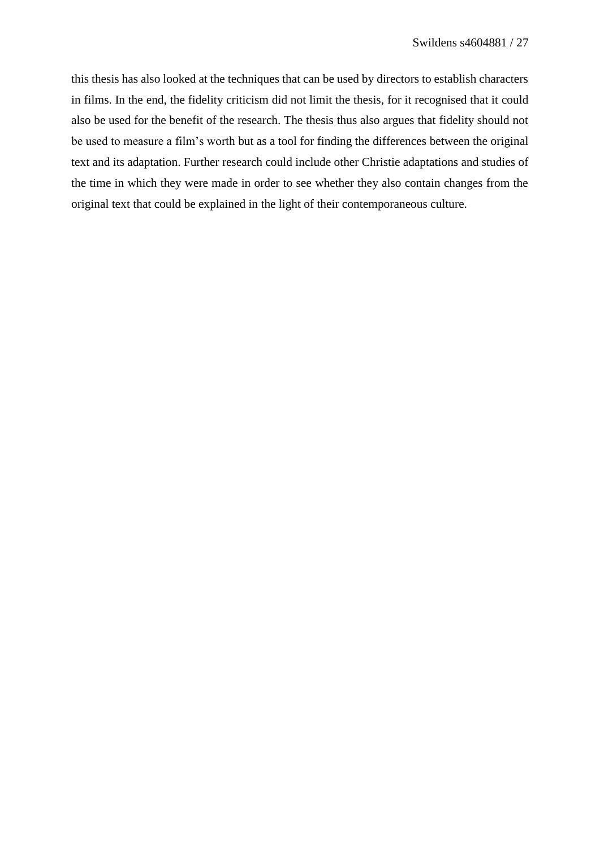this thesis has also looked at the techniques that can be used by directors to establish characters in films. In the end, the fidelity criticism did not limit the thesis, for it recognised that it could also be used for the benefit of the research. The thesis thus also argues that fidelity should not be used to measure a film's worth but as a tool for finding the differences between the original text and its adaptation. Further research could include other Christie adaptations and studies of the time in which they were made in order to see whether they also contain changes from the original text that could be explained in the light of their contemporaneous culture.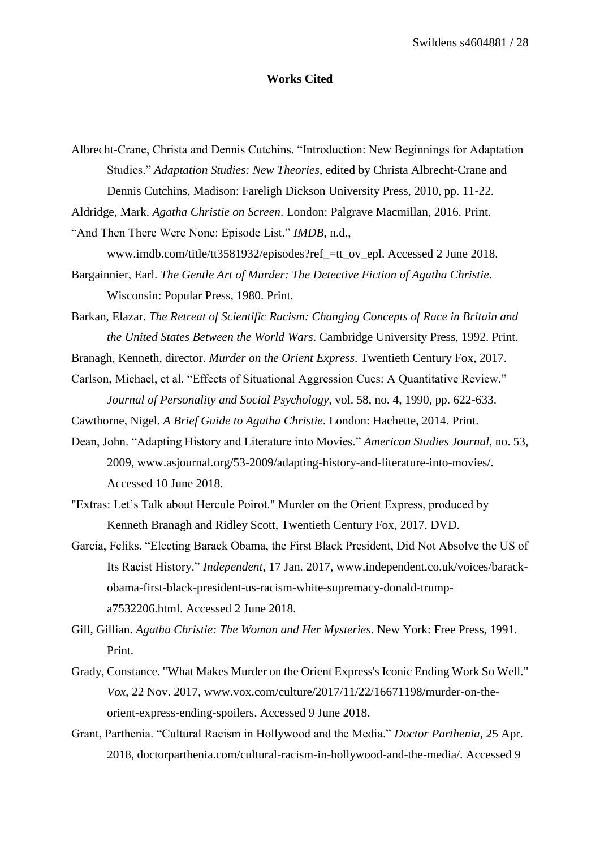#### **Works Cited**

<span id="page-28-0"></span>Albrecht-Crane, Christa and Dennis Cutchins. "Introduction: New Beginnings for Adaptation Studies." *Adaptation Studies: New Theories*, edited by Christa Albrecht-Crane and Dennis Cutchins, Madison: Fareligh Dickson University Press, 2010, pp. 11-22.

Aldridge, Mark. *Agatha Christie on Screen*. London: Palgrave Macmillan, 2016. Print.

"And Then There Were None: Episode List." *IMDB*, n.d.,

www.imdb.com/title/tt3581932/episodes?ref\_=tt\_ov\_epl. Accessed 2 June 2018.

Bargainnier, Earl. *The Gentle Art of Murder: The Detective Fiction of Agatha Christie*. Wisconsin: Popular Press, 1980. Print.

Barkan, Elazar. *The Retreat of Scientific Racism: Changing Concepts of Race in Britain and the United States Between the World Wars*. Cambridge University Press, 1992. Print.

Branagh, Kenneth, director. *Murder on the Orient Express*. Twentieth Century Fox, 2017.

Carlson, Michael, et al. "Effects of Situational Aggression Cues: A Quantitative Review." *Journal of Personality and Social Psychology*, vol. 58, no. 4, 1990, pp. 622-633.

Cawthorne, Nigel. *A Brief Guide to Agatha Christie*. London: Hachette, 2014. Print.

Dean, John. "Adapting History and Literature into Movies." *American Studies Journal*, no. 53, 2009, www.asjournal.org/53-2009/adapting-history-and-literature-into-movies/. Accessed 10 June 2018.

"Extras: Let's Talk about Hercule Poirot." Murder on the Orient Express, produced by Kenneth Branagh and Ridley Scott, Twentieth Century Fox, 2017. DVD.

Garcia, Feliks. "Electing Barack Obama, the First Black President, Did Not Absolve the US of Its Racist History." *Independent*, 17 Jan. 2017, www.independent.co.uk/voices/barackobama-first-black-president-us-racism-white-supremacy-donald-trumpa7532206.html. Accessed 2 June 2018.

Gill, Gillian. *Agatha Christie: The Woman and Her Mysteries*. New York: Free Press, 1991. Print.

- Grady, Constance. "What Makes Murder on the Orient Express's Iconic Ending Work So Well." *Vox*, 22 Nov. 2017, www.vox.com/culture/2017/11/22/16671198/murder-on-theorient-express-ending-spoilers. Accessed 9 June 2018.
- Grant, Parthenia. "Cultural Racism in Hollywood and the Media." *Doctor Parthenia*, 25 Apr. 2018, doctorparthenia.com/cultural-racism-in-hollywood-and-the-media/. Accessed 9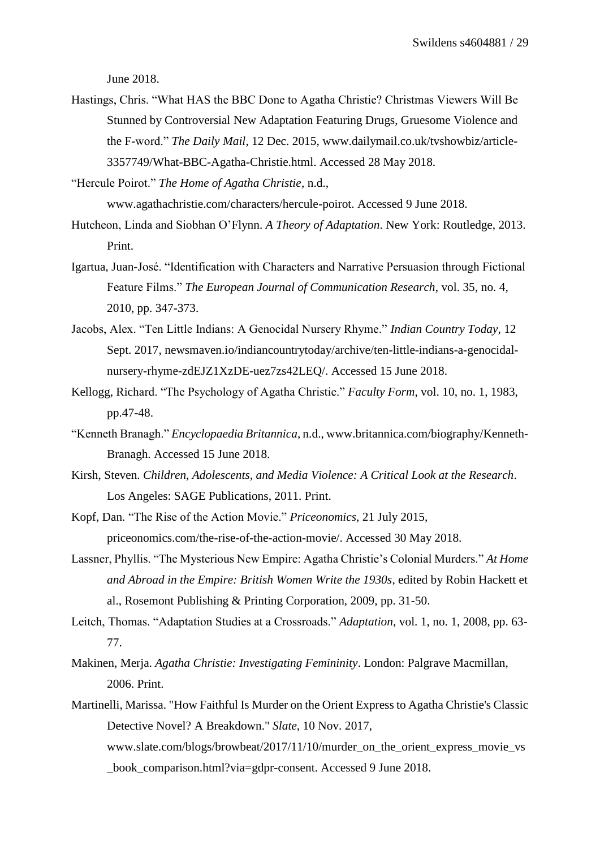June 2018.

Hastings, Chris. "What HAS the BBC Done to Agatha Christie? Christmas Viewers Will Be Stunned by Controversial New Adaptation Featuring Drugs, Gruesome Violence and the F-word." *The Daily Mail*, 12 Dec. 2015, www.dailymail.co.uk/tvshowbiz/article-3357749/What-BBC-Agatha-Christie.html. Accessed 28 May 2018.

"Hercule Poirot." *The Home of Agatha Christie*, n.d.,

www.agathachristie.com/characters/hercule-poirot. Accessed 9 June 2018.

- Hutcheon, Linda and Siobhan O'Flynn. *A Theory of Adaptation*. New York: Routledge, 2013. Print.
- Igartua, Juan-José. "Identification with Characters and Narrative Persuasion through Fictional Feature Films." *The European Journal of Communication Research*, vol. 35, no. 4, 2010, pp. 347-373.
- Jacobs, Alex. "Ten Little Indians: A Genocidal Nursery Rhyme." *Indian Country Today*, 12 Sept. 2017, newsmaven.io/indiancountrytoday/archive/ten-little-indians-a-genocidalnursery-rhyme-zdEJZ1XzDE-uez7zs42LEQ/. Accessed 15 June 2018.
- Kellogg, Richard. "The Psychology of Agatha Christie." *Faculty Form*, vol. 10, no. 1, 1983, pp.47-48.
- "Kenneth Branagh." *Encyclopaedia Britannica*, n.d., www.britannica.com/biography/Kenneth-Branagh. Accessed 15 June 2018.
- Kirsh, Steven. *Children, Adolescents, and Media Violence: A Critical Look at the Research*. Los Angeles: SAGE Publications, 2011. Print.
- Kopf, Dan. "The Rise of the Action Movie." *Priceonomics*, 21 July 2015, priceonomics.com/the-rise-of-the-action-movie/. Accessed 30 May 2018.
- Lassner, Phyllis. "The Mysterious New Empire: Agatha Christie's Colonial Murders." *At Home and Abroad in the Empire: British Women Write the 1930s*, edited by Robin Hackett et al., Rosemont Publishing & Printing Corporation, 2009, pp. 31-50.
- Leitch, Thomas. "Adaptation Studies at a Crossroads." *Adaptation*, vol. 1, no. 1, 2008, pp. 63- 77.
- Makinen, Merja. *Agatha Christie: Investigating Femininity*. London: Palgrave Macmillan, 2006. Print.
- Martinelli, Marissa. "How Faithful Is Murder on the Orient Express to Agatha Christie's Classic Detective Novel? A Breakdown." *Slate*, 10 Nov. 2017, www.slate.com/blogs/browbeat/2017/11/10/murder\_on\_the\_orient\_express\_movie\_vs \_book\_comparison.html?via=gdpr-consent. Accessed 9 June 2018.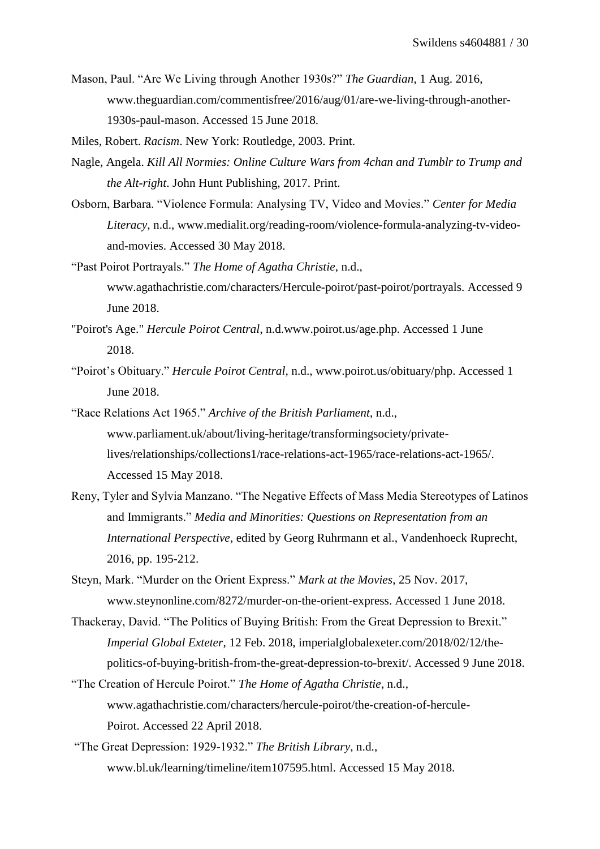Mason, Paul. "Are We Living through Another 1930s?" *The Guardian*, 1 Aug. 2016, www.theguardian.com/commentisfree/2016/aug/01/are-we-living-through-another-1930s-paul-mason. Accessed 15 June 2018.

Miles, Robert. *Racism*. New York: Routledge, 2003. Print.

- Nagle, Angela. *Kill All Normies: Online Culture Wars from 4chan and Tumblr to Trump and the Alt-right*. John Hunt Publishing, 2017. Print.
- Osborn, Barbara. "Violence Formula: Analysing TV, Video and Movies." *Center for Media Literacy*, n.d., www.medialit.org/reading-room/violence-formula-analyzing-tv-videoand-movies. Accessed 30 May 2018.
- "Past Poirot Portrayals." *The Home of Agatha Christie*, n.d., www.agathachristie.com/characters/Hercule-poirot/past-poirot/portrayals. Accessed 9 June 2018.
- "Poirot's Age." *Hercule Poirot Central*, n.d.www.poirot.us/age.php. Accessed 1 June 2018.
- "Poirot's Obituary." *Hercule Poirot Central*, n.d., www.poirot.us/obituary/php. Accessed 1 June 2018.
- "Race Relations Act 1965." *Archive of the British Parliament*, n.d., www.parliament.uk/about/living-heritage/transformingsociety/privatelives/relationships/collections1/race-relations-act-1965/race-relations-act-1965/. Accessed 15 May 2018.
- Reny, Tyler and Sylvia Manzano. "The Negative Effects of Mass Media Stereotypes of Latinos and Immigrants." *Media and Minorities: Questions on Representation from an International Perspective*, edited by Georg Ruhrmann et al., Vandenhoeck Ruprecht, 2016, pp. 195-212.
- Steyn, Mark. "Murder on the Orient Express." *Mark at the Movies*, 25 Nov. 2017, www.steynonline.com/8272/murder-on-the-orient-express. Accessed 1 June 2018.
- Thackeray, David. "The Politics of Buying British: From the Great Depression to Brexit." *Imperial Global Exteter*, 12 Feb. 2018, imperialglobalexeter.com/2018/02/12/thepolitics-of-buying-british-from-the-great-depression-to-brexit/. Accessed 9 June 2018.
- "The Creation of Hercule Poirot." *The Home of Agatha Christie*, n.d., www.agathachristie.com/characters/hercule-poirot/the-creation-of-hercule-Poirot. Accessed 22 April 2018.
- "The Great Depression: 1929-1932." *The British Library*, n.d., www.bl.uk/learning/timeline/item107595.html. Accessed 15 May 2018.